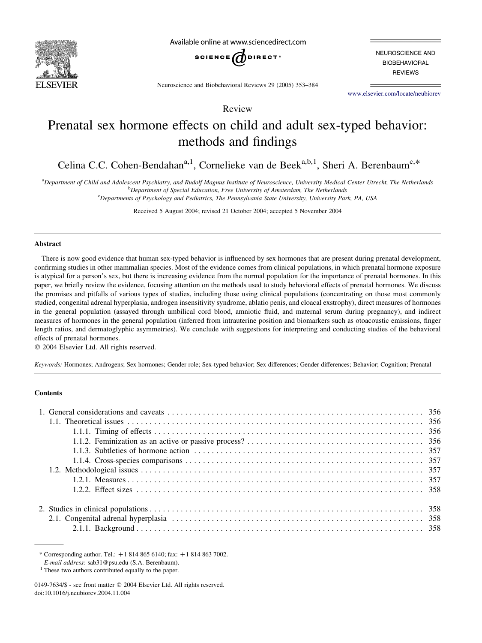

Available online at www.sciencedirect.com



NEUROSCIENCE AND **BIOBEHAVIORAL REVIEWS** 

Neuroscience and Biobehavioral Reviews 29 (2005) 353–384

[www.elsevier.com/locate/neubiorev](http://www.elsevier.com/locate/neubiorev)

Review

# Prenatal sex hormone effects on child and adult sex-typed behavior: methods and findings

Celina C.C. Cohen-Bendahan<sup>a,1</sup>, Cornelieke van de Beek<sup>a,b,1</sup>, Sheri A. Berenbaum<sup>c,\*</sup>

a Department of Child and Adolescent Psychiatry, and Rudolf Magnus Institute of Neuroscience, University Medical Center Utrecht, The Netherlands <sup>b</sup>Department of Special Education, Free University of Amsterdam, The Netherlands

<sup>c</sup>Departments of Psychology and Pediatrics, The Pennsylvania State University, University Park, PA, USA

Received 5 August 2004; revised 21 October 2004; accepted 5 November 2004

#### Abstract

There is now good evidence that human sex-typed behavior is influenced by sex hormones that are present during prenatal development, confirming studies in other mammalian species. Most of the evidence comes from clinical populations, in which prenatal hormone exposure is atypical for a person's sex, but there is increasing evidence from the normal population for the importance of prenatal hormones. In this paper, we briefly review the evidence, focusing attention on the methods used to study behavioral effects of prenatal hormones. We discuss the promises and pitfalls of various types of studies, including those using clinical populations (concentrating on those most commonly studied, congenital adrenal hyperplasia, androgen insensitivity syndrome, ablatio penis, and cloacal exstrophy), direct measures of hormones in the general population (assayed through umbilical cord blood, amniotic fluid, and maternal serum during pregnancy), and indirect measures of hormones in the general population (inferred from intrauterine position and biomarkers such as otoacoustic emissions, finger length ratios, and dermatoglyphic asymmetries). We conclude with suggestions for interpreting and conducting studies of the behavioral effects of prenatal hormones.

 $© 2004 Elsevier Ltd. All rights reserved.$ 

Keywords: Hormones; Androgens; Sex hormones; Gender role; Sex-typed behavior; Sex differences; Gender differences; Behavior; Cognition; Prenatal

# **Contents**

\* Corresponding author. Tel.:  $+18148656140$ ; fax:  $+18148637002$ .

E-mail address: sab31@psu.edu (S.A. Berenbaum).

<sup>&</sup>lt;sup>1</sup> These two authors contributed equally to the paper.

<sup>0149-7634/\$ -</sup> see front matter © 2004 Elsevier Ltd. All rights reserved. doi:10.1016/j.neubiorev.2004.11.004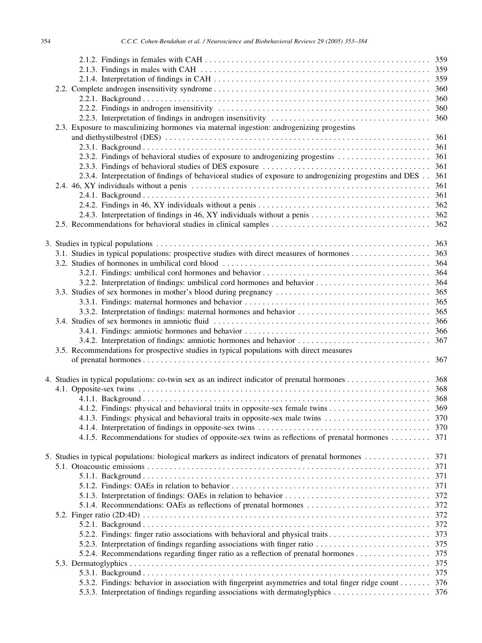| 2.3. Exposure to masculinizing hormones via maternal ingestion: androgenizing progestins                    |     |
|-------------------------------------------------------------------------------------------------------------|-----|
|                                                                                                             |     |
|                                                                                                             |     |
|                                                                                                             |     |
|                                                                                                             |     |
| 2.3.4. Interpretation of findings of behavioral studies of exposure to androgenizing progestins and DES 361 |     |
|                                                                                                             | 361 |
|                                                                                                             |     |
|                                                                                                             |     |
|                                                                                                             |     |
|                                                                                                             |     |
|                                                                                                             |     |
|                                                                                                             |     |
|                                                                                                             |     |
|                                                                                                             |     |
|                                                                                                             |     |
|                                                                                                             |     |
|                                                                                                             |     |
|                                                                                                             |     |
|                                                                                                             |     |
|                                                                                                             |     |
|                                                                                                             |     |
|                                                                                                             |     |
| 3.5. Recommendations for prospective studies in typical populations with direct measures                    |     |
|                                                                                                             |     |
|                                                                                                             |     |
|                                                                                                             |     |
|                                                                                                             |     |
|                                                                                                             |     |
|                                                                                                             |     |
|                                                                                                             |     |
|                                                                                                             |     |
| 4.1.5. Recommendations for studies of opposite-sex twins as reflections of prenatal hormones  371           |     |
|                                                                                                             |     |
| 5. Studies in typical populations: biological markers as indirect indicators of prenatal hormones           | 371 |
|                                                                                                             | 371 |
|                                                                                                             | 371 |
|                                                                                                             | 371 |
|                                                                                                             | 372 |
| 5.1.4. Recommendations: OAEs as reflections of prenatal hormones                                            | 372 |
|                                                                                                             | 372 |
|                                                                                                             | 372 |
| 5.2.2. Findings: finger ratio associations with behavioral and physical traits                              | 373 |
| 5.2.3. Interpretation of findings regarding associations with finger ratio                                  | 375 |
|                                                                                                             | 375 |
|                                                                                                             | 375 |
|                                                                                                             |     |
|                                                                                                             | 375 |
| 5.3.2. Findings: behavior in association with fingerprint asymmetries and total finger ridge count          | 376 |
|                                                                                                             |     |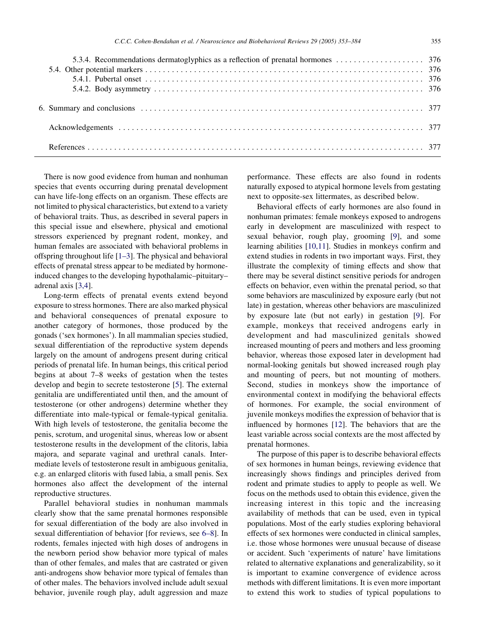There is now good evidence from human and nonhuman species that events occurring during prenatal development can have life-long effects on an organism. These effects are not limited to physical characteristics, but extend to a variety of behavioral traits. Thus, as described in several papers in this special issue and elsewhere, physical and emotional stressors experienced by pregnant rodent, monkey, and human females are associated with behavioral problems in offspring throughout life [\[1–3](#page-24-0)]. The physical and behavioral effects of prenatal stress appear to be mediated by hormoneinduced changes to the developing hypothalamic–pituitary– adrenal axis [\[3,4\]](#page-24-0).

Long-term effects of prenatal events extend beyond exposure to stress hormones. There are also marked physical and behavioral consequences of prenatal exposure to another category of hormones, those produced by the gonads ('sex hormones'). In all mammalian species studied, sexual differentiation of the reproductive system depends largely on the amount of androgens present during critical periods of prenatal life. In human beings, this critical period begins at about 7–8 weeks of gestation when the testes develop and begin to secrete testosterone [[5\]](#page-24-0). The external genitalia are undifferentiated until then, and the amount of testosterone (or other androgens) determine whether they differentiate into male-typical or female-typical genitalia. With high levels of testosterone, the genitalia become the penis, scrotum, and urogenital sinus, whereas low or absent testosterone results in the development of the clitoris, labia majora, and separate vaginal and urethral canals. Intermediate levels of testosterone result in ambiguous genitalia, e.g. an enlarged clitoris with fused labia, a small penis. Sex hormones also affect the development of the internal reproductive structures.

Parallel behavioral studies in nonhuman mammals clearly show that the same prenatal hormones responsible for sexual differentiation of the body are also involved in sexual differentiation of behavior [for reviews, see [6–8\]](#page-24-0). In rodents, females injected with high doses of androgens in the newborn period show behavior more typical of males than of other females, and males that are castrated or given anti-androgens show behavior more typical of females than of other males. The behaviors involved include adult sexual behavior, juvenile rough play, adult aggression and maze performance. These effects are also found in rodents naturally exposed to atypical hormone levels from gestating next to opposite-sex littermates, as described below.

Behavioral effects of early hormones are also found in nonhuman primates: female monkeys exposed to androgens early in development are masculinized with respect to sexual behavior, rough play, grooming [[9\]](#page-25-0), and some learning abilities [\[10,11\]](#page-25-0). Studies in monkeys confirm and extend studies in rodents in two important ways. First, they illustrate the complexity of timing effects and show that there may be several distinct sensitive periods for androgen effects on behavior, even within the prenatal period, so that some behaviors are masculinized by exposure early (but not late) in gestation, whereas other behaviors are masculinized by exposure late (but not early) in gestation [[9\]](#page-25-0). For example, monkeys that received androgens early in development and had masculinized genitals showed increased mounting of peers and mothers and less grooming behavior, whereas those exposed later in development had normal-looking genitals but showed increased rough play and mounting of peers, but not mounting of mothers. Second, studies in monkeys show the importance of environmental context in modifying the behavioral effects of hormones. For example, the social environment of juvenile monkeys modifies the expression of behavior that is influenced by hormones [[12\]](#page-25-0). The behaviors that are the least variable across social contexts are the most affected by prenatal hormones.

The purpose of this paper is to describe behavioral effects of sex hormones in human beings, reviewing evidence that increasingly shows findings and principles derived from rodent and primate studies to apply to people as well. We focus on the methods used to obtain this evidence, given the increasing interest in this topic and the increasing availability of methods that can be used, even in typical populations. Most of the early studies exploring behavioral effects of sex hormones were conducted in clinical samples, i.e. those whose hormones were unusual because of disease or accident. Such 'experiments of nature' have limitations related to alternative explanations and generalizability, so it is important to examine convergence of evidence across methods with different limitations. It is even more important to extend this work to studies of typical populations to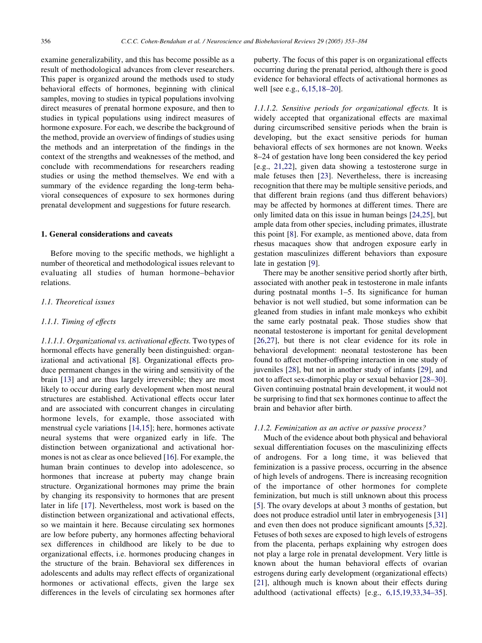examine generalizability, and this has become possible as a result of methodological advances from clever researchers. This paper is organized around the methods used to study behavioral effects of hormones, beginning with clinical samples, moving to studies in typical populations involving direct measures of prenatal hormone exposure, and then to studies in typical populations using indirect measures of hormone exposure. For each, we describe the background of the method, provide an overview of findings of studies using the methods and an interpretation of the findings in the context of the strengths and weaknesses of the method, and conclude with recommendations for researchers reading studies or using the method themselves. We end with a summary of the evidence regarding the long-term behavioral consequences of exposure to sex hormones during prenatal development and suggestions for future research.

## 1. General considerations and caveats

Before moving to the specific methods, we highlight a number of theoretical and methodological issues relevant to evaluating all studies of human hormone–behavior relations.

## 1.1. Theoretical issues

#### 1.1.1. Timing of effects

1.1.1.1. Organizational vs. activational effects. Two types of hormonal effects have generally been distinguished: organizational and activational [\[8](#page-24-0)]. Organizational effects produce permanent changes in the wiring and sensitivity of the brain [\[13](#page-25-0)] and are thus largely irreversible; they are most likely to occur during early development when most neural structures are established. Activational effects occur later and are associated with concurrent changes in circulating hormone levels, for example, those associated with menstrual cycle variations [\[14,15\]](#page-25-0); here, hormones activate neural systems that were organized early in life. The distinction between organizational and activational hormones is not as clear as once believed [\[16](#page-25-0)]. For example, the human brain continues to develop into adolescence, so hormones that increase at puberty may change brain structure. Organizational hormones may prime the brain by changing its responsivity to hormones that are present later in life [[17\]](#page-25-0). Nevertheless, most work is based on the distinction between organizational and activational effects, so we maintain it here. Because circulating sex hormones are low before puberty, any hormones affecting behavioral sex differences in childhood are likely to be due to organizational effects, i.e. hormones producing changes in the structure of the brain. Behavioral sex differences in adolescents and adults may reflect effects of organizational hormones or activational effects, given the large sex differences in the levels of circulating sex hormones after puberty. The focus of this paper is on organizational effects occurring during the prenatal period, although there is good evidence for behavioral effects of activational hormones as well [see e.g., [6,15,18–20\]](#page-24-0).

1.1.1.2. Sensitive periods for organizational effects. It is widely accepted that organizational effects are maximal during circumscribed sensitive periods when the brain is developing, but the exact sensitive periods for human behavioral effects of sex hormones are not known. Weeks 8–24 of gestation have long been considered the key period [e.g., [21,22\]](#page-25-0), given data showing a testosterone surge in male fetuses then [[23\]](#page-25-0). Nevertheless, there is increasing recognition that there may be multiple sensitive periods, and that different brain regions (and thus different behaviors) may be affected by hormones at different times. There are only limited data on this issue in human beings [\[24,25\]](#page-25-0), but ample data from other species, including primates, illustrate this point [[8\]](#page-24-0). For example, as mentioned above, data from rhesus macaques show that androgen exposure early in gestation masculinizes different behaviors than exposure late in gestation [\[9](#page-25-0)].

There may be another sensitive period shortly after birth, associated with another peak in testosterone in male infants during postnatal months 1–5. Its significance for human behavior is not well studied, but some information can be gleaned from studies in infant male monkeys who exhibit the same early postnatal peak. Those studies show that neonatal testosterone is important for genital development [[26,27](#page-25-0)], but there is not clear evidence for its role in behavioral development: neonatal testosterone has been found to affect mother-offspring interaction in one study of juveniles [\[28](#page-25-0)], but not in another study of infants [[29\]](#page-25-0), and not to affect sex-dimorphic play or sexual behavior [[28–30\]](#page-25-0). Given continuing postnatal brain development, it would not be surprising to find that sex hormones continue to affect the brain and behavior after birth.

#### 1.1.2. Feminization as an active or passive process?

Much of the evidence about both physical and behavioral sexual differentiation focuses on the masculinizing effects of androgens. For a long time, it was believed that feminization is a passive process, occurring in the absence of high levels of androgens. There is increasing recognition of the importance of other hormones for complete feminization, but much is still unknown about this process [[5\]](#page-24-0). The ovary develops at about 3 months of gestation, but does not produce estradiol until later in embryogenesis [\[31](#page-25-0)] and even then does not produce significant amounts [\[5,32\]](#page-24-0). Fetuses of both sexes are exposed to high levels of estrogens from the placenta, perhaps explaining why estrogen does not play a large role in prenatal development. Very little is known about the human behavioral effects of ovarian estrogens during early development (organizational effects) [[21\]](#page-25-0), although much is known about their effects during adulthood (activational effects) [e.g., [6,15,19,33,34–35\]](#page-24-0).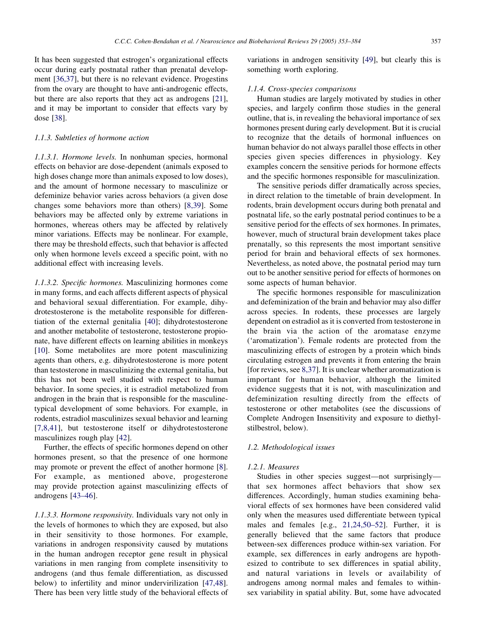It has been suggested that estrogen's organizational effects occur during early postnatal rather than prenatal development [\[36,37\]](#page-25-0), but there is no relevant evidence. Progestins from the ovary are thought to have anti-androgenic effects, but there are also reports that they act as androgens [[21\]](#page-25-0), and it may be important to consider that effects vary by dose [\[38](#page-25-0)].

# 1.1.3. Subtleties of hormone action

1.1.3.1. Hormone levels. In nonhuman species, hormonal effects on behavior are dose-dependent (animals exposed to high doses change more than animals exposed to low doses), and the amount of hormone necessary to masculinize or defeminize behavior varies across behaviors (a given dose changes some behaviors more than others) [[8,39](#page-24-0)]. Some behaviors may be affected only by extreme variations in hormones, whereas others may be affected by relatively minor variations. Effects may be nonlinear. For example, there may be threshold effects, such that behavior is affected only when hormone levels exceed a specific point, with no additional effect with increasing levels.

1.1.3.2. Specific hormones. Masculinizing hormones come in many forms, and each affects different aspects of physical and behavioral sexual differentiation. For example, dihydrotestosterone is the metabolite responsible for differentiation of the external genitalia [\[40\]](#page-25-0); dihydrotestosterone and another metabolite of testosterone, testosterone propionate, have different effects on learning abilities in monkeys [[10\]](#page-25-0). Some metabolites are more potent masculinizing agents than others, e.g. dihydrotestosterone is more potent than testosterone in masculinizing the external genitalia, but this has not been well studied with respect to human behavior. In some species, it is estradiol metabolized from androgen in the brain that is responsible for the masculinetypical development of some behaviors. For example, in rodents, estradiol masculinizes sexual behavior and learning [[7,8,41](#page-24-0)], but testosterone itself or dihydrotestosterone masculinizes rough play [\[42](#page-25-0)].

Further, the effects of specific hormones depend on other hormones present, so that the presence of one hormone may promote or prevent the effect of another hormone [[8\]](#page-24-0). For example, as mentioned above, progesterone may provide protection against masculinizing effects of androgens [[43–46\]](#page-25-0).

1.1.3.3. Hormone responsivity. Individuals vary not only in the levels of hormones to which they are exposed, but also in their sensitivity to those hormones. For example, variations in androgen responsivity caused by mutations in the human androgen receptor gene result in physical variations in men ranging from complete insensitivity to androgens (and thus female differentiation, as discussed below) to infertility and minor undervirilization [\[47,48\]](#page-25-0). There has been very little study of the behavioral effects of variations in androgen sensitivity [\[49](#page-25-0)], but clearly this is something worth exploring.

#### 1.1.4. Cross-species comparisons

Human studies are largely motivated by studies in other species, and largely confirm those studies in the general outline, that is, in revealing the behavioral importance of sex hormones present during early development. But it is crucial to recognize that the details of hormonal influences on human behavior do not always parallel those effects in other species given species differences in physiology. Key examples concern the sensitive periods for hormone effects and the specific hormones responsible for masculinization.

The sensitive periods differ dramatically across species, in direct relation to the timetable of brain development. In rodents, brain development occurs during both prenatal and postnatal life, so the early postnatal period continues to be a sensitive period for the effects of sex hormones. In primates, however, much of structural brain development takes place prenatally, so this represents the most important sensitive period for brain and behavioral effects of sex hormones. Nevertheless, as noted above, the postnatal period may turn out to be another sensitive period for effects of hormones on some aspects of human behavior.

The specific hormones responsible for masculinization and defeminization of the brain and behavior may also differ across species. In rodents, these processes are largely dependent on estradiol as it is converted from testosterone in the brain via the action of the aromatase enzyme ('aromatization'). Female rodents are protected from the masculinizing effects of estrogen by a protein which binds circulating estrogen and prevents it from entering the brain [for reviews, see [8,37](#page-24-0)]. It is unclear whether aromatization is important for human behavior, although the limited evidence suggests that it is not, with masculinization and defeminization resulting directly from the effects of testosterone or other metabolites (see the discussions of Complete Androgen Insensitivity and exposure to diethylstilbestrol, below).

#### 1.2. Methodological issues

## 1.2.1. Measures

Studies in other species suggest—not surprisingly that sex hormones affect behaviors that show sex differences. Accordingly, human studies examining behavioral effects of sex hormones have been considered valid only when the measures used differentiate between typical males and females [e.g., [21,24,50–52](#page-25-0)]. Further, it is generally believed that the same factors that produce between-sex differences produce within-sex variation. For example, sex differences in early androgens are hypothesized to contribute to sex differences in spatial ability, and natural variations in levels or availability of androgens among normal males and females to withinsex variability in spatial ability. But, some have advocated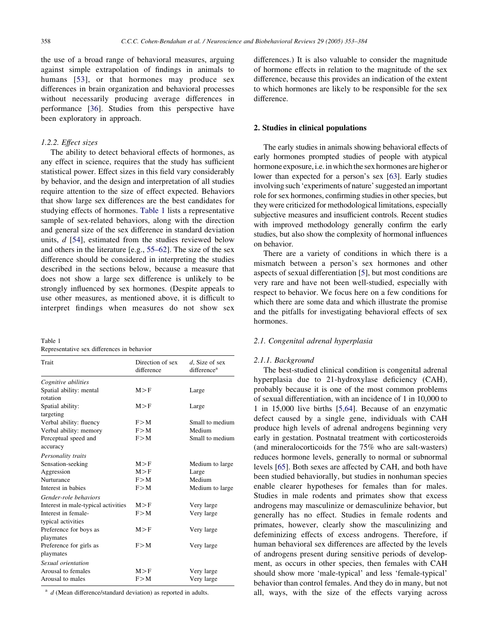the use of a broad range of behavioral measures, arguing against simple extrapolation of findings in animals to humans [[53](#page-26-0)], or that hormones may produce sex differences in brain organization and behavioral processes without necessarily producing average differences in performance [[36](#page-25-0)]. Studies from this perspective have been exploratory in approach.

#### 1.2.2. Effect sizes

The ability to detect behavioral effects of hormones, as any effect in science, requires that the study has sufficient statistical power. Effect sizes in this field vary considerably by behavior, and the design and interpretation of all studies require attention to the size of effect expected. Behaviors that show large sex differences are the best candidates for studying effects of hormones. Table 1 lists a representative sample of sex-related behaviors, along with the direction and general size of the sex difference in standard deviation units, d [\[54](#page-26-0)], estimated from the studies reviewed below and others in the literature [e.g., [55–62](#page-26-0)]. The size of the sex difference should be considered in interpreting the studies described in the sections below, because a measure that does not show a large sex difference is unlikely to be strongly influenced by sex hormones. (Despite appeals to use other measures, as mentioned above, it is difficult to interpret findings when measures do not show sex

| Table 1                                    |  |  |
|--------------------------------------------|--|--|
| Representative sex differences in behavior |  |  |

| Trait                               | Direction of sex<br>difference | $d$ , Size of sex<br>difference <sup>a</sup> |
|-------------------------------------|--------------------------------|----------------------------------------------|
| Cognitive abilities                 |                                |                                              |
| Spatial ability: mental<br>rotation | M > F                          | Large                                        |
| Spatial ability:                    | M > F                          | Large                                        |
| targeting                           |                                |                                              |
| Verbal ability: fluency             | F > M                          | Small to medium                              |
| Verbal ability: memory              | F > M                          | Medium                                       |
| Perceptual speed and                | F > M                          | Small to medium                              |
| accuracy                            |                                |                                              |
| Personality traits                  |                                |                                              |
| Sensation-seeking                   | M > F                          | Medium to large                              |
| Aggression                          | M > F                          | Large                                        |
| Nurturance                          | F > M                          | Medium                                       |
| Interest in babies                  | F > M                          | Medium to large                              |
| Gender-role behaviors               |                                |                                              |
| Interest in male-typical activities | M > F                          | Very large                                   |
| Interest in female-                 | F > M                          | Very large                                   |
| typical activities                  |                                |                                              |
| Preference for boys as              | M > F                          | Very large                                   |
| playmates                           |                                |                                              |
| Preference for girls as             | F > M                          | Very large                                   |
| playmates                           |                                |                                              |
| Sexual orientation                  |                                |                                              |
| Arousal to females                  | M > F                          | Very large                                   |
| Arousal to males                    | F > M                          | Very large                                   |

 $a$  d (Mean difference/standard deviation) as reported in adults.

differences.) It is also valuable to consider the magnitude of hormone effects in relation to the magnitude of the sex difference, because this provides an indication of the extent to which hormones are likely to be responsible for the sex difference.

#### 2. Studies in clinical populations

The early studies in animals showing behavioral effects of early hormones prompted studies of people with atypical hormone exposure, i.e. in which the sex hormones are higher or lower than expected for a person's sex [\[63\]](#page-26-0). Early studies involving such 'experiments of nature' suggested an important role for sex hormones, confirming studies in other species, but they were criticized for methodological limitations, especially subjective measures and insufficient controls. Recent studies with improved methodology generally confirm the early studies, but also show the complexity of hormonal influences on behavior.

There are a variety of conditions in which there is a mismatch between a person's sex hormones and other aspects of sexual differentiation [\[5](#page-24-0)], but most conditions are very rare and have not been well-studied, especially with respect to behavior. We focus here on a few conditions for which there are some data and which illustrate the promise and the pitfalls for investigating behavioral effects of sex hormones.

# 2.1. Congenital adrenal hyperplasia

## 2.1.1. Background

The best-studied clinical condition is congenital adrenal hyperplasia due to 21-hydroxylase deficiency (CAH), probably because it is one of the most common problems of sexual differentiation, with an incidence of 1 in 10,000 to 1 in 15,000 live births [\[5,64\]](#page-24-0). Because of an enzymatic defect caused by a single gene, individuals with CAH produce high levels of adrenal androgens beginning very early in gestation. Postnatal treatment with corticosteroids (and mineralocorticoids for the 75% who are salt-wasters) reduces hormone levels, generally to normal or subnormal levels [\[65](#page-26-0)]. Both sexes are affected by CAH, and both have been studied behaviorally, but studies in nonhuman species enable clearer hypotheses for females than for males. Studies in male rodents and primates show that excess androgens may masculinize or demasculinize behavior, but generally has no effect. Studies in female rodents and primates, however, clearly show the masculinizing and defeminizing effects of excess androgens. Therefore, if human behavioral sex differences are affected by the levels of androgens present during sensitive periods of development, as occurs in other species, then females with CAH should show more 'male-typical' and less 'female-typical' behavior than control females. And they do in many, but not all, ways, with the size of the effects varying across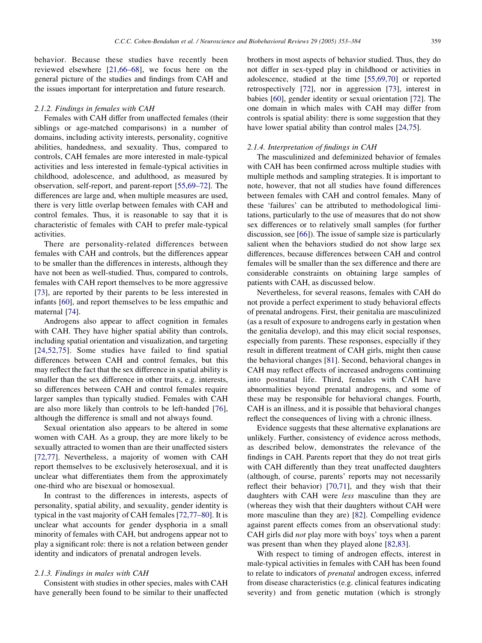behavior. Because these studies have recently been reviewed elsewhere [[21,66–68](#page-25-0)], we focus here on the general picture of the studies and findings from CAH and the issues important for interpretation and future research.

## 2.1.2. Findings in females with CAH

Females with CAH differ from unaffected females (their siblings or age-matched comparisons) in a number of domains, including activity interests, personality, cognitive abilities, handedness, and sexuality. Thus, compared to controls, CAH females are more interested in male-typical activities and less interested in female-typical activities in childhood, adolescence, and adulthood, as measured by observation, self-report, and parent-report [\[55,69–72\]](#page-26-0). The differences are large and, when multiple measures are used, there is very little overlap between females with CAH and control females. Thus, it is reasonable to say that it is characteristic of females with CAH to prefer male-typical activities.

There are personality-related differences between females with CAH and controls, but the differences appear to be smaller than the differences in interests, although they have not been as well-studied. Thus, compared to controls, females with CAH report themselves to be more aggressive [[73\]](#page-26-0), are reported by their parents to be less interested in infants [[60](#page-26-0)], and report themselves to be less empathic and maternal [[74\]](#page-26-0).

Androgens also appear to affect cognition in females with CAH. They have higher spatial ability than controls, including spatial orientation and visualization, and targeting [[24,52,75](#page-25-0)]. Some studies have failed to find spatial differences between CAH and control females, but this may reflect the fact that the sex difference in spatial ability is smaller than the sex difference in other traits, e.g. interests, so differences between CAH and control females require larger samples than typically studied. Females with CAH are also more likely than controls to be left-handed [[76\]](#page-26-0), although the difference is small and not always found.

Sexual orientation also appears to be altered in some women with CAH. As a group, they are more likely to be sexually attracted to women than are their unaffected sisters [[72,77](#page-26-0)]. Nevertheless, a majority of women with CAH report themselves to be exclusively heterosexual, and it is unclear what differentiates them from the approximately one-third who are bisexual or homosexual.

In contrast to the differences in interests, aspects of personality, spatial ability, and sexuality, gender identity is typical in the vast majority of CAH females [\[72,77–80\]](#page-26-0). It is unclear what accounts for gender dysphoria in a small minority of females with CAH, but androgens appear not to play a significant role: there is not a relation between gender identity and indicators of prenatal androgen levels.

## 2.1.3. Findings in males with CAH

Consistent with studies in other species, males with CAH have generally been found to be similar to their unaffected

brothers in most aspects of behavior studied. Thus, they do not differ in sex-typed play in childhood or activities in adolescence, studied at the time [[55,69,70\]](#page-26-0) or reported retrospectively [\[72](#page-26-0)], nor in aggression [\[73](#page-26-0)], interest in babies [\[60](#page-26-0)], gender identity or sexual orientation [\[72](#page-26-0)]. The one domain in which males with CAH may differ from controls is spatial ability: there is some suggestion that they have lower spatial ability than control males [\[24,75\]](#page-25-0).

#### 2.1.4. Interpretation of findings in CAH

The masculinized and defeminized behavior of females with CAH has been confirmed across multiple studies with multiple methods and sampling strategies. It is important to note, however, that not all studies have found differences between females with CAH and control females. Many of these 'failures' can be attributed to methodological limitations, particularly to the use of measures that do not show sex differences or to relatively small samples (for further discussion, see [[66\]](#page-26-0)). The issue of sample size is particularly salient when the behaviors studied do not show large sex differences, because differences between CAH and control females will be smaller than the sex difference and there are considerable constraints on obtaining large samples of patients with CAH, as discussed below.

Nevertheless, for several reasons, females with CAH do not provide a perfect experiment to study behavioral effects of prenatal androgens. First, their genitalia are masculinized (as a result of exposure to androgens early in gestation when the genitalia develop), and this may elicit social responses, especially from parents. These responses, especially if they result in different treatment of CAH girls, might then cause the behavioral changes [[81\]](#page-26-0). Second, behavioral changes in CAH may reflect effects of increased androgens continuing into postnatal life. Third, females with CAH have abnormalities beyond prenatal androgens, and some of these may be responsible for behavioral changes. Fourth, CAH is an illness, and it is possible that behavioral changes reflect the consequences of living with a chronic illness.

Evidence suggests that these alternative explanations are unlikely. Further, consistency of evidence across methods, as described below, demonstrates the relevance of the findings in CAH. Parents report that they do not treat girls with CAH differently than they treat unaffected daughters (although, of course, parents' reports may not necessarily reflect their behavior) [\[70,71\]](#page-26-0), and they wish that their daughters with CAH were less masculine than they are (whereas they wish that their daughters without CAH were more masculine than they are) [[82](#page-26-0)]. Compelling evidence against parent effects comes from an observational study: CAH girls did not play more with boys' toys when a parent was present than when they played alone [[82,83](#page-26-0)].

With respect to timing of androgen effects, interest in male-typical activities in females with CAH has been found to relate to indicators of prenatal androgen excess, inferred from disease characteristics (e.g. clinical features indicating severity) and from genetic mutation (which is strongly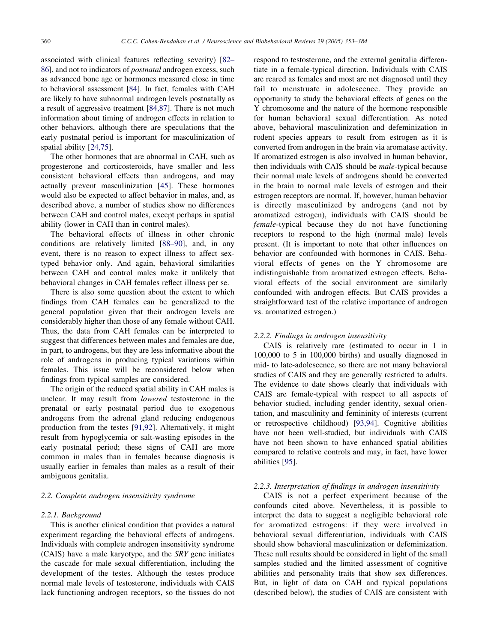associated with clinical features reflecting severity) [[82–](#page-26-0) [86\]](#page-26-0), and not to indicators of postnatal androgen excess, such as advanced bone age or hormones measured close in time to behavioral assessment [[84\]](#page-26-0). In fact, females with CAH are likely to have subnormal androgen levels postnatally as a result of aggressive treatment [\[84,87\]](#page-26-0). There is not much information about timing of androgen effects in relation to other behaviors, although there are speculations that the early postnatal period is important for masculinization of spatial ability [[24,75](#page-25-0)].

The other hormones that are abnormal in CAH, such as progesterone and corticosteroids, have smaller and less consistent behavioral effects than androgens, and may actually prevent masculinization [\[45](#page-25-0)]. These hormones would also be expected to affect behavior in males, and, as described above, a number of studies show no differences between CAH and control males, except perhaps in spatial ability (lower in CAH than in control males).

The behavioral effects of illness in other chronic conditions are relatively limited [\[88–90](#page-26-0)], and, in any event, there is no reason to expect illness to affect sextyped behavior only. And again, behavioral similarities between CAH and control males make it unlikely that behavioral changes in CAH females reflect illness per se.

There is also some question about the extent to which findings from CAH females can be generalized to the general population given that their androgen levels are considerably higher than those of any female without CAH. Thus, the data from CAH females can be interpreted to suggest that differences between males and females are due, in part, to androgens, but they are less informative about the role of androgens in producing typical variations within females. This issue will be reconsidered below when findings from typical samples are considered.

The origin of the reduced spatial ability in CAH males is unclear. It may result from lowered testosterone in the prenatal or early postnatal period due to exogenous androgens from the adrenal gland reducing endogenous production from the testes [[91,92](#page-26-0)]. Alternatively, it might result from hypoglycemia or salt-wasting episodes in the early postnatal period; these signs of CAH are more common in males than in females because diagnosis is usually earlier in females than males as a result of their ambiguous genitalia.

## 2.2. Complete androgen insensitivity syndrome

#### 2.2.1. Background

This is another clinical condition that provides a natural experiment regarding the behavioral effects of androgens. Individuals with complete androgen insensitivity syndrome (CAIS) have a male karyotype, and the SRY gene initiates the cascade for male sexual differentiation, including the development of the testes. Although the testes produce normal male levels of testosterone, individuals with CAIS lack functioning androgen receptors, so the tissues do not

respond to testosterone, and the external genitalia differentiate in a female-typical direction. Individuals with CAIS are reared as females and most are not diagnosed until they fail to menstruate in adolescence. They provide an opportunity to study the behavioral effects of genes on the Y chromosome and the nature of the hormone responsible for human behavioral sexual differentiation. As noted above, behavioral masculinization and defeminization in rodent species appears to result from estrogen as it is converted from androgen in the brain via aromatase activity. If aromatized estrogen is also involved in human behavior, then individuals with CAIS should be male-typical because their normal male levels of androgens should be converted in the brain to normal male levels of estrogen and their estrogen receptors are normal. If, however, human behavior is directly masculinized by androgens (and not by aromatized estrogen), individuals with CAIS should be female-typical because they do not have functioning receptors to respond to the high (normal male) levels present. (It is important to note that other influences on behavior are confounded with hormones in CAIS. Behavioral effects of genes on the Y chromosome are indistinguishable from aromatized estrogen effects. Behavioral effects of the social environment are similarly confounded with androgen effects. But CAIS provides a straightforward test of the relative importance of androgen vs. aromatized estrogen.)

## 2.2.2. Findings in androgen insensitivity

CAIS is relatively rare (estimated to occur in 1 in 100,000 to 5 in 100,000 births) and usually diagnosed in mid- to late-adolescence, so there are not many behavioral studies of CAIS and they are generally restricted to adults. The evidence to date shows clearly that individuals with CAIS are female-typical with respect to all aspects of behavior studied, including gender identity, sexual orientation, and masculinity and femininity of interests (current or retrospective childhood) [[93,94\]](#page-27-0). Cognitive abilities have not been well-studied, but individuals with CAIS have not been shown to have enhanced spatial abilities compared to relative controls and may, in fact, have lower abilities [[95\]](#page-27-0).

#### 2.2.3. Interpretation of findings in androgen insensitivity

CAIS is not a perfect experiment because of the confounds cited above. Nevertheless, it is possible to interpret the data to suggest a negligible behavioral role for aromatized estrogens: if they were involved in behavioral sexual differentiation, individuals with CAIS should show behavioral masculinization or defeminization. These null results should be considered in light of the small samples studied and the limited assessment of cognitive abilities and personality traits that show sex differences. But, in light of data on CAH and typical populations (described below), the studies of CAIS are consistent with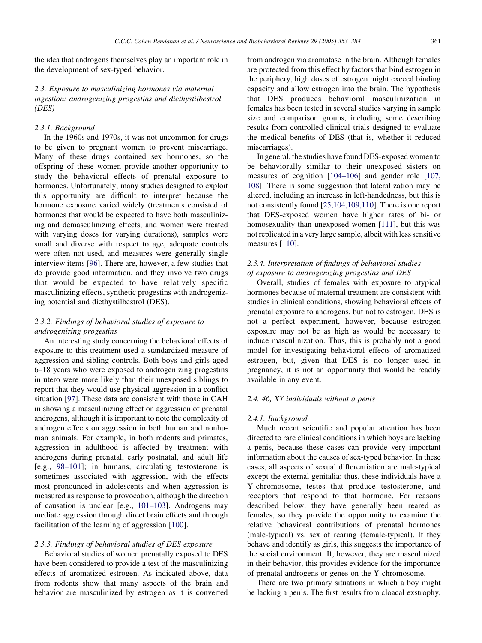the idea that androgens themselves play an important role in the development of sex-typed behavior.

2.3. Exposure to masculinizing hormones via maternal ingestion: androgenizing progestins and diethystilbestrol (DES)

## 2.3.1. Background

In the 1960s and 1970s, it was not uncommon for drugs to be given to pregnant women to prevent miscarriage. Many of these drugs contained sex hormones, so the offspring of these women provide another opportunity to study the behavioral effects of prenatal exposure to hormones. Unfortunately, many studies designed to exploit this opportunity are difficult to interpret because the hormone exposure varied widely (treatments consisted of hormones that would be expected to have both masculinizing and demasculinizing effects, and women were treated with varying doses for varying durations), samples were small and diverse with respect to age, adequate controls were often not used, and measures were generally single interview items [[96\]](#page-27-0). There are, however, a few studies that do provide good information, and they involve two drugs that would be expected to have relatively specific masculinizing effects, synthetic progestins with androgenizing potential and diethystilbestrol (DES).

# 2.3.2. Findings of behavioral studies of exposure to androgenizing progestins

An interesting study concerning the behavioral effects of exposure to this treatment used a standardized measure of aggression and sibling controls. Both boys and girls aged 6–18 years who were exposed to androgenizing progestins in utero were more likely than their unexposed siblings to report that they would use physical aggression in a conflict situation [\[97](#page-27-0)]. These data are consistent with those in CAH in showing a masculinizing effect on aggression of prenatal androgens, although it is important to note the complexity of androgen effects on aggression in both human and nonhuman animals. For example, in both rodents and primates, aggression in adulthood is affected by treatment with androgens during prenatal, early postnatal, and adult life [e.g., [98–101\]](#page-27-0); in humans, circulating testosterone is sometimes associated with aggression, with the effects most pronounced in adolescents and when aggression is measured as response to provocation, although the direction of causation is unclear [e.g., [101–103\]](#page-27-0). Androgens may mediate aggression through direct brain effects and through facilitation of the learning of aggression [[100\]](#page-27-0).

## 2.3.3. Findings of behavioral studies of DES exposure

Behavioral studies of women prenatally exposed to DES have been considered to provide a test of the masculinizing effects of aromatized estrogen. As indicated above, data from rodents show that many aspects of the brain and behavior are masculinized by estrogen as it is converted from androgen via aromatase in the brain. Although females are protected from this effect by factors that bind estrogen in the periphery, high doses of estrogen might exceed binding capacity and allow estrogen into the brain. The hypothesis that DES produces behavioral masculinization in females has been tested in several studies varying in sample size and comparison groups, including some describing results from controlled clinical trials designed to evaluate the medical benefits of DES (that is, whether it reduced miscarriages).

In general, the studies have found DES-exposed women to be behaviorally similar to their unexposed sisters on measures of cognition [[104–106\]](#page-27-0) and gender role [\[107,](#page-27-0) [108](#page-27-0)]. There is some suggestion that lateralization may be altered, including an increase in left-handedness, but this is not consistently found [\[25,104,109,110\]](#page-25-0). There is one report that DES-exposed women have higher rates of bi- or homosexuality than unexposed women [[111\]](#page-27-0), but this was not replicated in a very large sample, albeit with less sensitive measures [[110\]](#page-27-0).

# 2.3.4. Interpretation of findings of behavioral studies of exposure to androgenizing progestins and DES

Overall, studies of females with exposure to atypical hormones because of maternal treatment are consistent with studies in clinical conditions, showing behavioral effects of prenatal exposure to androgens, but not to estrogen. DES is not a perfect experiment, however, because estrogen exposure may not be as high as would be necessary to induce masculinization. Thus, this is probably not a good model for investigating behavioral effects of aromatized estrogen, but, given that DES is no longer used in pregnancy, it is not an opportunity that would be readily available in any event.

#### 2.4. 46, XY individuals without a penis

#### 2.4.1. Background

Much recent scientific and popular attention has been directed to rare clinical conditions in which boys are lacking a penis, because these cases can provide very important information about the causes of sex-typed behavior. In these cases, all aspects of sexual differentiation are male-typical except the external genitalia; thus, these individuals have a Y-chromosome, testes that produce testosterone, and receptors that respond to that hormone. For reasons described below, they have generally been reared as females, so they provide the opportunity to examine the relative behavioral contributions of prenatal hormones (male-typical) vs. sex of rearing (female-typical). If they behave and identify as girls, this suggests the importance of the social environment. If, however, they are masculinized in their behavior, this provides evidence for the importance of prenatal androgens or genes on the Y-chromosome.

There are two primary situations in which a boy might be lacking a penis. The first results from cloacal exstrophy,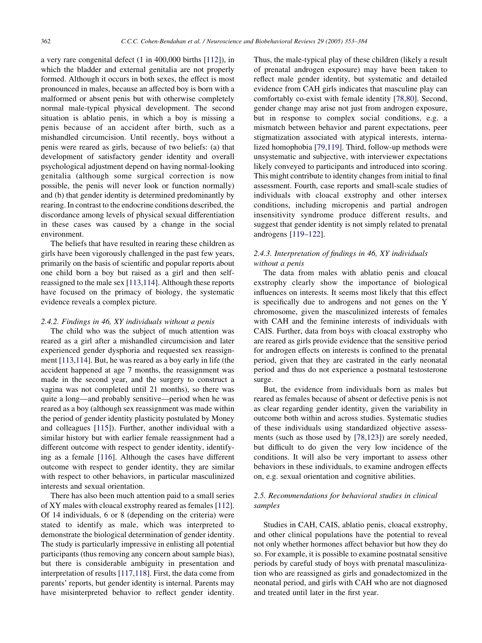a very rare congenital defect (1 in 400,000 births [[112\]](#page-27-0)), in which the bladder and external genitalia are not properly formed. Although it occurs in both sexes, the effect is most pronounced in males, because an affected boy is born with a malformed or absent penis but with otherwise completely normal male-typical physical development. The second situation is ablatio penis, in which a boy is missing a penis because of an accident after birth, such as a mishandled circumcision. Until recently, boys without a penis were reared as girls, because of two beliefs: (a) that development of satisfactory gender identity and overall psychological adjustment depend on having normal-looking genitalia (although some surgical correction is now possible, the penis will never look or function normally) and (b) that gender identity is determined predominantly by rearing. In contrast to the endocrine conditions described, the discordance among levels of physical sexual differentiation in these cases was caused by a change in the social environment.

The beliefs that have resulted in rearing these children as girls have been vigorously challenged in the past few years, primarily on the basis of scientific and popular reports about one child born a boy but raised as a girl and then selfreassigned to the male sex [\[113,114\]](#page-27-0). Although these reports have focused on the primacy of biology, the systematic evidence reveals a complex picture.

#### 2.4.2. Findings in 46, XY individuals without a penis

The child who was the subject of much attention was reared as a girl after a mishandled circumcision and later experienced gender dysphoria and requested sex reassignment [\[113,114\]](#page-27-0). But, he was reared as a boy early in life (the accident happened at age 7 months, the reassignment was made in the second year, and the surgery to construct a vagina was not completed until 21 months), so there was quite a long—and probably sensitive—period when he was reared as a boy (although sex reassignment was made within the period of gender identity plasticity postulated by Money and colleagues [\[115](#page-27-0)]). Further, another individual with a similar history but with earlier female reassignment had a different outcome with respect to gender identity, identifying as a female [[116\]](#page-27-0). Although the cases have different outcome with respect to gender identity, they are similar with respect to other behaviors, in particular masculinized interests and sexual orientation.

There has also been much attention paid to a small series of XY males with cloacal exstrophy reared as females [[112\]](#page-27-0). Of 14 individuals, 6 or 8 (depending on the criteria) were stated to identify as male, which was interpreted to demonstrate the biological determination of gender identity. The study is particularly impressive in enlisting all potential participants (thus removing any concern about sample bias), but there is considerable ambiguity in presentation and interpretation of results [\[117,118\]](#page-27-0). First, the data come from parents' reports, but gender identity is internal. Parents may have misinterpreted behavior to reflect gender identity.

Thus, the male-typical play of these children (likely a result of prenatal androgen exposure) may have been taken to reflect male gender identity, but systematic and detailed evidence from CAH girls indicates that masculine play can comfortably co-exist with female identity [\[78,80\]](#page-26-0). Second, gender change may arise not just from androgen exposure, but in response to complex social conditions, e.g. a mismatch between behavior and parent expectations, peer stigmatization associated with atypical interests, internalized homophobia [[79,119](#page-26-0)]. Third, follow-up methods were unsystematic and subjective, with interviewer expectations likely conveyed to participants and introduced into scoring. This might contribute to identity changes from initial to final assessment. Fourth, case reports and small-scale studies of individuals with cloacal exstrophy and other intersex conditions, including micropenis and partial androgen insensitivity syndrome produce different results, and suggest that gender identity is not simply related to prenatal androgens [\[119–122\]](#page-27-0).

# 2.4.3. Interpretation of findings in 46, XY individuals without a penis

The data from males with ablatio penis and cloacal exstrophy clearly show the importance of biological influences on interests. It seems most likely that this effect is specifically due to androgens and not genes on the Y chromosome, given the masculinized interests of females with CAH and the feminine interests of individuals with CAIS. Further, data from boys with cloacal exstrophy who are reared as girls provide evidence that the sensitive period for androgen effects on interests is confined to the prenatal period, given that they are castrated in the early neonatal period and thus do not experience a postnatal testosterone surge.

But, the evidence from individuals born as males but reared as females because of absent or defective penis is not as clear regarding gender identity, given the variability in outcome both within and across studies. Systematic studies of these individuals using standardized objective assessments (such as those used by [[78,123](#page-26-0)]) are sorely needed, but difficult to do given the very low incidence of the conditions. It will also be very important to assess other behaviors in these individuals, to examine androgen effects on, e.g. sexual orientation and cognitive abilities.

# 2.5. Recommendations for behavioral studies in clinical samples

Studies in CAH, CAIS, ablatio penis, cloacal exstrophy, and other clinical populations have the potential to reveal not only whether hormones affect behavior but how they do so. For example, it is possible to examine postnatal sensitive periods by careful study of boys with prenatal masculinization who are reassigned as girls and gonadectomized in the neonatal period, and girls with CAH who are not diagnosed and treated until later in the first year.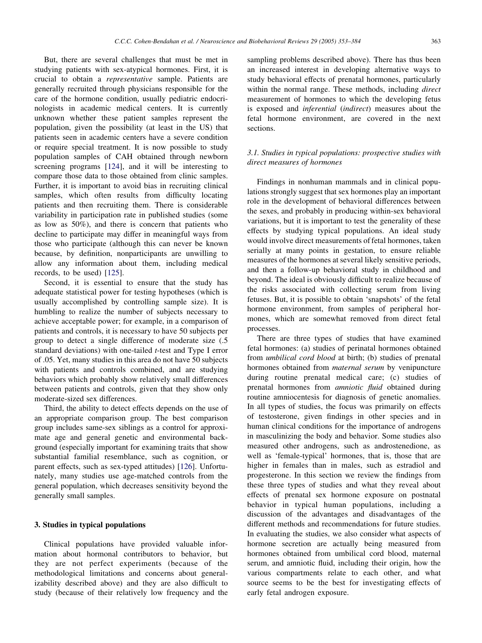But, there are several challenges that must be met in studying patients with sex-atypical hormones. First, it is crucial to obtain a representative sample. Patients are generally recruited through physicians responsible for the care of the hormone condition, usually pediatric endocrinologists in academic medical centers. It is currently unknown whether these patient samples represent the population, given the possibility (at least in the US) that patients seen in academic centers have a severe condition or require special treatment. It is now possible to study population samples of CAH obtained through newborn screening programs [[124\]](#page-27-0), and it will be interesting to compare those data to those obtained from clinic samples. Further, it is important to avoid bias in recruiting clinical samples, which often results from difficulty locating patients and then recruiting them. There is considerable variability in participation rate in published studies (some as low as 50%), and there is concern that patients who decline to participate may differ in meaningful ways from those who participate (although this can never be known because, by definition, nonparticipants are unwilling to allow any information about them, including medical records, to be used) [[125\]](#page-27-0).

Second, it is essential to ensure that the study has adequate statistical power for testing hypotheses (which is usually accomplished by controlling sample size). It is humbling to realize the number of subjects necessary to achieve acceptable power; for example, in a comparison of patients and controls, it is necessary to have 50 subjects per group to detect a single difference of moderate size (.5 standard deviations) with one-tailed t-test and Type I error of .05. Yet, many studies in this area do not have 50 subjects with patients and controls combined, and are studying behaviors which probably show relatively small differences between patients and controls, given that they show only moderate-sized sex differences.

Third, the ability to detect effects depends on the use of an appropriate comparison group. The best comparison group includes same-sex siblings as a control for approximate age and general genetic and environmental background (especially important for examining traits that show substantial familial resemblance, such as cognition, or parent effects, such as sex-typed attitudes) [[126](#page-27-0)]. Unfortunately, many studies use age-matched controls from the general population, which decreases sensitivity beyond the generally small samples.

## 3. Studies in typical populations

Clinical populations have provided valuable information about hormonal contributors to behavior, but they are not perfect experiments (because of the methodological limitations and concerns about generalizability described above) and they are also difficult to study (because of their relatively low frequency and the

sampling problems described above). There has thus been an increased interest in developing alternative ways to study behavioral effects of prenatal hormones, particularly within the normal range. These methods, including *direct* measurement of hormones to which the developing fetus is exposed and inferential (indirect) measures about the fetal hormone environment, are covered in the next sections.

# 3.1. Studies in typical populations: prospective studies with direct measures of hormones

Findings in nonhuman mammals and in clinical populations strongly suggest that sex hormones play an important role in the development of behavioral differences between the sexes, and probably in producing within-sex behavioral variations, but it is important to test the generality of these effects by studying typical populations. An ideal study would involve direct measurements of fetal hormones, taken serially at many points in gestation, to ensure reliable measures of the hormones at several likely sensitive periods, and then a follow-up behavioral study in childhood and beyond. The ideal is obviously difficult to realize because of the risks associated with collecting serum from living fetuses. But, it is possible to obtain 'snapshots' of the fetal hormone environment, from samples of peripheral hormones, which are somewhat removed from direct fetal processes.

There are three types of studies that have examined fetal hormones: (a) studies of perinatal hormones obtained from umbilical cord blood at birth; (b) studies of prenatal hormones obtained from maternal serum by venipuncture during routine prenatal medical care; (c) studies of prenatal hormones from amniotic fluid obtained during routine amniocentesis for diagnosis of genetic anomalies. In all types of studies, the focus was primarily on effects of testosterone, given findings in other species and in human clinical conditions for the importance of androgens in masculinizing the body and behavior. Some studies also measured other androgens, such as androstenedione, as well as 'female-typical' hormones, that is, those that are higher in females than in males, such as estradiol and progesterone. In this section we review the findings from these three types of studies and what they reveal about effects of prenatal sex hormone exposure on postnatal behavior in typical human populations, including a discussion of the advantages and disadvantages of the different methods and recommendations for future studies. In evaluating the studies, we also consider what aspects of hormone secretion are actually being measured from hormones obtained from umbilical cord blood, maternal serum, and amniotic fluid, including their origin, how the various compartments relate to each other, and what source seems to be the best for investigating effects of early fetal androgen exposure.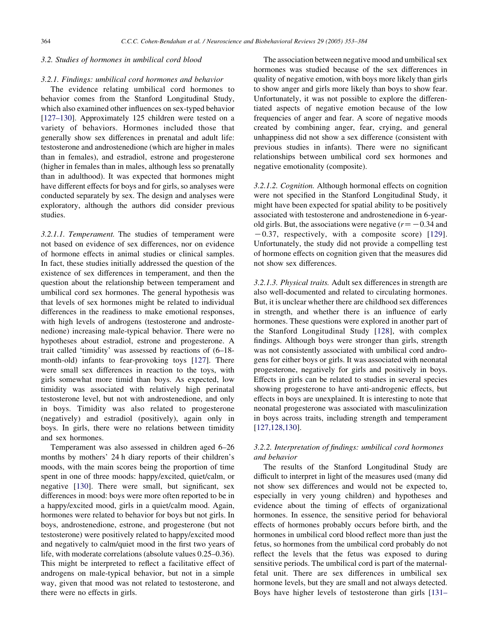# 3.2. Studies of hormones in umbilical cord blood

#### 3.2.1. Findings: umbilical cord hormones and behavior

The evidence relating umbilical cord hormones to behavior comes from the Stanford Longitudinal Study, which also examined other influences on sex-typed behavior [[127–130\]](#page-27-0). Approximately 125 children were tested on a variety of behaviors. Hormones included those that generally show sex differences in prenatal and adult life: testosterone and androstenedione (which are higher in males than in females), and estradiol, estrone and progesterone (higher in females than in males, although less so prenatally than in adulthood). It was expected that hormones might have different effects for boys and for girls, so analyses were conducted separately by sex. The design and analyses were exploratory, although the authors did consider previous studies.

3.2.1.1. Temperament. The studies of temperament were not based on evidence of sex differences, nor on evidence of hormone effects in animal studies or clinical samples. In fact, these studies initially addressed the question of the existence of sex differences in temperament, and then the question about the relationship between temperament and umbilical cord sex hormones. The general hypothesis was that levels of sex hormones might be related to individual differences in the readiness to make emotional responses, with high levels of androgens (testosterone and androstenedione) increasing male-typical behavior. There were no hypotheses about estradiol, estrone and progesterone. A trait called 'timidity' was assessed by reactions of (6–18 month-old) infants to fear-provoking toys [[127\]](#page-27-0). There were small sex differences in reaction to the toys, with girls somewhat more timid than boys. As expected, low timidity was associated with relatively high perinatal testosterone level, but not with androstenedione, and only in boys. Timidity was also related to progesterone (negatively) and estradiol (positively), again only in boys. In girls, there were no relations between timidity and sex hormones.

Temperament was also assessed in children aged 6–26 months by mothers' 24 h diary reports of their children's moods, with the main scores being the proportion of time spent in one of three moods: happy/excited, quiet/calm, or negative [\[130](#page-27-0)]. There were small, but significant, sex differences in mood: boys were more often reported to be in a happy/excited mood, girls in a quiet/calm mood. Again, hormones were related to behavior for boys but not girls. In boys, androstenedione, estrone, and progesterone (but not testosterone) were positively related to happy/excited mood and negatively to calm/quiet mood in the first two years of life, with moderate correlations (absolute values 0.25–0.36). This might be interpreted to reflect a facilitative effect of androgens on male-typical behavior, but not in a simple way, given that mood was not related to testosterone, and there were no effects in girls.

The association between negative mood and umbilical sex hormones was studied because of the sex differences in quality of negative emotion, with boys more likely than girls to show anger and girls more likely than boys to show fear. Unfortunately, it was not possible to explore the differentiated aspects of negative emotion because of the low frequencies of anger and fear. A score of negative moods created by combining anger, fear, crying, and general unhappiness did not show a sex difference (consistent with previous studies in infants). There were no significant relationships between umbilical cord sex hormones and negative emotionality (composite).

3.2.1.2. Cognition. Although hormonal effects on cognition were not specified in the Stanford Longitudinal Study, it might have been expected for spatial ability to be positively associated with testosterone and androstenedione in 6-yearold girls. But, the associations were negative  $(r=-0.34$  and  $-0.37$ , respectively, with a composite score) [\[129\]](#page-27-0). Unfortunately, the study did not provide a compelling test of hormone effects on cognition given that the measures did not show sex differences.

3.2.1.3. Physical traits. Adult sex differences in strength are also well-documented and related to circulating hormones. But, it is unclear whether there are childhood sex differences in strength, and whether there is an influence of early hormones. These questions were explored in another part of the Stanford Longitudinal Study [[128](#page-27-0)], with complex findings. Although boys were stronger than girls, strength was not consistently associated with umbilical cord androgens for either boys or girls. It was associated with neonatal progesterone, negatively for girls and positively in boys. Effects in girls can be related to studies in several species showing progesterone to have anti-androgenic effects, but effects in boys are unexplained. It is interesting to note that neonatal progesterone was associated with masculinization in boys across traits, including strength and temperament [[127,128,130\]](#page-27-0).

# 3.2.2. Interpretation of findings: umbilical cord hormones and behavior

The results of the Stanford Longitudinal Study are difficult to interpret in light of the measures used (many did not show sex differences and would not be expected to, especially in very young children) and hypotheses and evidence about the timing of effects of organizational hormones. In essence, the sensitive period for behavioral effects of hormones probably occurs before birth, and the hormones in umbilical cord blood reflect more than just the fetus, so hormones from the umbilical cord probably do not reflect the levels that the fetus was exposed to during sensitive periods. The umbilical cord is part of the maternalfetal unit. There are sex differences in umbilical sex hormone levels, but they are small and not always detected. Boys have higher levels of testosterone than girls [[131–](#page-27-0)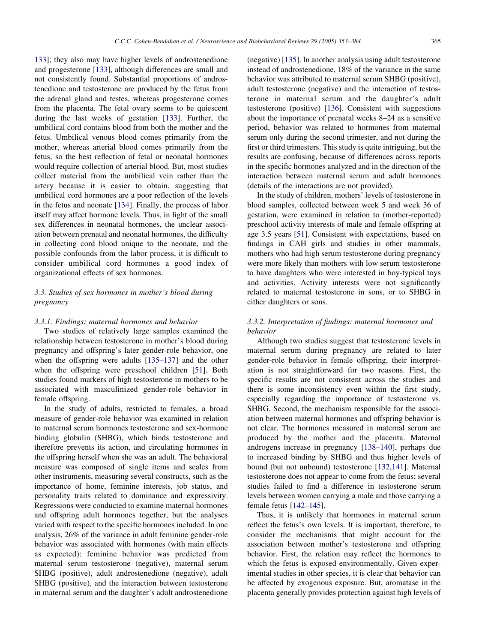[133](#page-27-0)]; they also may have higher levels of androstenedione and progesterone [\[133](#page-27-0)], although differences are small and not consistently found. Substantial proportions of androstenedione and testosterone are produced by the fetus from the adrenal gland and testes, whereas progesterone comes from the placenta. The fetal ovary seems to be quiescent during the last weeks of gestation [\[133](#page-27-0)]. Further, the umbilical cord contains blood from both the mother and the fetus. Umbilical venous blood comes primarily from the mother, whereas arterial blood comes primarily from the fetus, so the best reflection of fetal or neonatal hormones would require collection of arterial blood. But, most studies collect material from the umbilical vein rather than the artery because it is easier to obtain, suggesting that umbilical cord hormones are a poor reflection of the levels in the fetus and neonate [[134\]](#page-27-0). Finally, the process of labor itself may affect hormone levels. Thus, in light of the small sex differences in neonatal hormones, the unclear association between prenatal and neonatal hormones, the difficulty in collecting cord blood unique to the neonate, and the possible confounds from the labor process, it is difficult to consider umbilical cord hormones a good index of organizational effects of sex hormones.

# 3.3. Studies of sex hormones in mother's blood during pregnancy

#### 3.3.1. Findings: maternal hormones and behavior

Two studies of relatively large samples examined the relationship between testosterone in mother's blood during pregnancy and offspring's later gender-role behavior, one when the offspring were adults [\[135–137](#page-27-0)] and the other when the offspring were preschool children [[51\]](#page-25-0). Both studies found markers of high testosterone in mothers to be associated with masculinized gender-role behavior in female offspring.

In the study of adults, restricted to females, a broad measure of gender-role behavior was examined in relation to maternal serum hormones testosterone and sex-hormone binding globulin (SHBG), which binds testosterone and therefore prevents its action, and circulating hormones in the offspring herself when she was an adult. The behavioral measure was composed of single items and scales from other instruments, measuring several constructs, such as the importance of home, feminine interests, job status, and personality traits related to dominance and expressivity. Regressions were conducted to examine maternal hormones and offspring adult hormones together, but the analyses varied with respect to the specific hormones included. In one analysis, 26% of the variance in adult feminine gender-role behavior was associated with hormones (with main effects as expected): feminine behavior was predicted from maternal serum testosterone (negative), maternal serum SHBG (positive), adult androstenedione (negative), adult SHBG (positive), and the interaction between testosterone in maternal serum and the daughter's adult androstenedione

(negative) [[135\]](#page-27-0). In another analysis using adult testosterone instead of androstenedione, 18% of the variance in the same behavior was attributed to maternal serum SHBG (positive), adult testosterone (negative) and the interaction of testosterone in maternal serum and the daughter's adult testosterone (positive) [[136\]](#page-27-0). Consistent with suggestions about the importance of prenatal weeks 8–24 as a sensitive period, behavior was related to hormones from maternal serum only during the second trimester, and not during the first or third trimesters. This study is quite intriguing, but the results are confusing, because of differences across reports in the specific hormones analyzed and in the direction of the interaction between maternal serum and adult hormones (details of the interactions are not provided).

In the study of children, mothers' levels of testosterone in blood samples, collected between week 5 and week 36 of gestation, were examined in relation to (mother-reported) preschool activity interests of male and female offspring at age 3.5 years [[51](#page-25-0)]. Consistent with expectations, based on findings in CAH girls and studies in other mammals, mothers who had high serum testosterone during pregnancy were more likely than mothers with low serum testosterone to have daughters who were interested in boy-typical toys and activities. Activity interests were not significantly related to maternal testosterone in sons, or to SHBG in either daughters or sons.

# 3.3.2. Interpretation of findings: maternal hormones and behavior

Although two studies suggest that testosterone levels in maternal serum during pregnancy are related to later gender-role behavior in female offspring, their interpretation is not straightforward for two reasons. First, the specific results are not consistent across the studies and there is some inconsistency even within the first study, especially regarding the importance of testosterone vs. SHBG. Second, the mechanism responsible for the association between maternal hormones and offspring behavior is not clear. The hormones measured in maternal serum are produced by the mother and the placenta. Maternal androgens increase in pregnancy [[138–140\]](#page-27-0), perhaps due to increased binding by SHBG and thus higher levels of bound (but not unbound) testosterone [[132,141](#page-27-0)]. Maternal testosterone does not appear to come from the fetus; several studies failed to find a difference in testosterone serum levels between women carrying a male and those carrying a female fetus [[142–145\]](#page-28-0).

Thus, it is unlikely that hormones in maternal serum reflect the fetus's own levels. It is important, therefore, to consider the mechanisms that might account for the association between mother's testosterone and offspring behavior. First, the relation may reflect the hormones to which the fetus is exposed environmentally. Given experimental studies in other species, it is clear that behavior can be affected by exogenous exposure. But, aromatase in the placenta generally provides protection against high levels of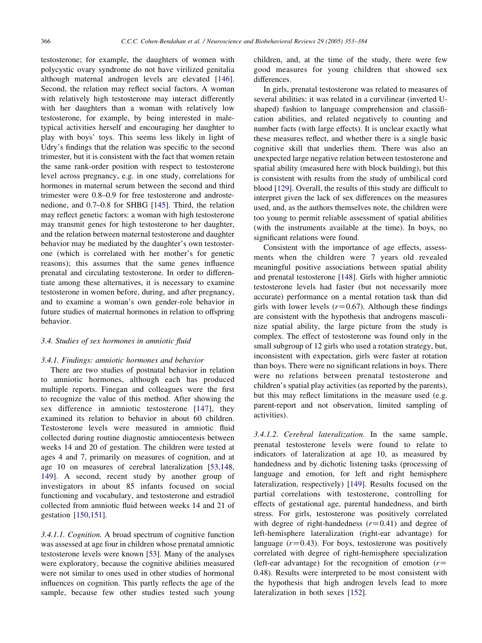testosterone; for example, the daughters of women with polycystic ovary syndrome do not have virilized genitalia although maternal androgen levels are elevated [[146\]](#page-28-0). Second, the relation may reflect social factors. A woman with relatively high testosterone may interact differently with her daughters than a woman with relatively low testosterone, for example, by being interested in maletypical activities herself and encouraging her daughter to play with boys' toys. This seems less likely in light of Udry's findings that the relation was specific to the second trimester, but it is consistent with the fact that women retain the same rank-order position with respect to testosterone level across pregnancy, e.g. in one study, correlations for hormones in maternal serum between the second and third trimester were 0.8–0.9 for free testosterone and androstenedione, and 0.7–0.8 for SHBG [[145\]](#page-28-0). Third, the relation may reflect genetic factors: a woman with high testosterone may transmit genes for high testosterone to her daughter, and the relation between maternal testosterone and daughter behavior may be mediated by the daughter's own testosterone (which is correlated with her mother's for genetic reasons); this assumes that the same genes influence prenatal and circulating testosterone. In order to differentiate among these alternatives, it is necessary to examine testosterone in women before, during, and after pregnancy, and to examine a woman's own gender-role behavior in future studies of maternal hormones in relation to offspring behavior.

# 3.4. Studies of sex hormones in amniotic fluid

## 3.4.1. Findings: amniotic hormones and behavior

There are two studies of postnatal behavior in relation to amniotic hormones, although each has produced multiple reports. Finegan and colleagues were the first to recognize the value of this method. After showing the sex difference in amniotic testosterone [[147](#page-28-0)], they examined its relation to behavior in about 60 children. Testosterone levels were measured in amniotic fluid collected during routine diagnostic amniocentesis between weeks 14 and 20 of gestation. The children were tested at ages 4 and 7, primarily on measures of cognition, and at age 10 on measures of cerebral lateralization [[53,148,](#page-26-0) [149\]](#page-26-0). A second, recent study by another group of investigators in about 85 infants focused on social functioning and vocabulary, and testosterone and estradiol collected from amniotic fluid between weeks 14 and 21 of gestation [\[150,151\]](#page-28-0).

3.4.1.1. Cognition. A broad spectrum of cognitive function was assessed at age four in children whose prenatal amniotic testosterone levels were known [[53\]](#page-26-0). Many of the analyses were exploratory, because the cognitive abilities measured were not similar to ones used in other studies of hormonal influences on cognition. This partly reflects the age of the sample, because few other studies tested such young children, and, at the time of the study, there were few good measures for young children that showed sex differences.

In girls, prenatal testosterone was related to measures of several abilities: it was related in a curvilinear (inverted Ushaped) fashion to language comprehension and classification abilities, and related negatively to counting and number facts (with large effects). It is unclear exactly what these measures reflect, and whether there is a single basic cognitive skill that underlies them. There was also an unexpected large negative relation between testosterone and spatial ability (measured here with block building), but this is consistent with results from the study of umbilical cord blood [\[129](#page-27-0)]. Overall, the results of this study are difficult to interpret given the lack of sex differences on the measures used, and, as the authors themselves note, the children were too young to permit reliable assessment of spatial abilities (with the instruments available at the time). In boys, no significant relations were found.

Consistent with the importance of age effects, assessments when the children were 7 years old revealed meaningful positive associations between spatial ability and prenatal testosterone [[148\]](#page-28-0). Girls with higher amniotic testosterone levels had faster (but not necessarily more accurate) performance on a mental rotation task than did girls with lower levels  $(r=0.67)$ . Although these findings are consistent with the hypothesis that androgens masculinize spatial ability, the large picture from the study is complex. The effect of testosterone was found only in the small subgroup of 12 girls who used a rotation strategy, but, inconsistent with expectation, girls were faster at rotation than boys. There were no significant relations in boys. There were no relations between prenatal testosterone and children's spatial play activities (as reported by the parents), but this may reflect limitations in the measure used (e.g. parent-report and not observation, limited sampling of activities).

3.4.1.2. Cerebral lateralization. In the same sample, prenatal testosterone levels were found to relate to indicators of lateralization at age 10, as measured by handedness and by dichotic listening tasks (processing of language and emotion, for left and right hemisphere lateralization, respectively) [\[149](#page-28-0)]. Results focused on the partial correlations with testosterone, controlling for effects of gestational age, parental handedness, and birth stress. For girls, testosterone was positively correlated with degree of right-handedness  $(r=0.41)$  and degree of left-hemisphere lateralization (right-ear advantage) for language  $(r=0.43)$ . For boys, testosterone was positively correlated with degree of right-hemisphere specialization (left-ear advantage) for the recognition of emotion  $(r=$ 0.48). Results were interpreted to be most consistent with the hypothesis that high androgen levels lead to more lateralization in both sexes [[152\]](#page-28-0).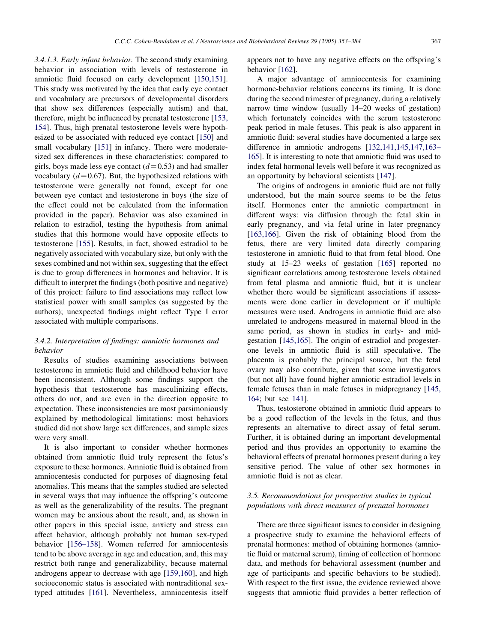3.4.1.3. Early infant behavior. The second study examining behavior in association with levels of testosterone in amniotic fluid focused on early development [\[150,151\]](#page-28-0). This study was motivated by the idea that early eye contact and vocabulary are precursors of developmental disorders that show sex differences (especially autism) and that, therefore, might be influenced by prenatal testosterone [\[153,](#page-28-0) [154](#page-28-0)]. Thus, high prenatal testosterone levels were hypothesized to be associated with reduced eye contact [[150\]](#page-28-0) and small vocabulary [[151\]](#page-28-0) in infancy. There were moderatesized sex differences in these characteristics: compared to girls, boys made less eye contact  $(d=0.53)$  and had smaller vocabulary  $(d=0.67)$ . But, the hypothesized relations with testosterone were generally not found, except for one between eye contact and testosterone in boys (the size of the effect could not be calculated from the information provided in the paper). Behavior was also examined in relation to estradiol, testing the hypothesis from animal studies that this hormone would have opposite effects to testosterone [\[155](#page-28-0)]. Results, in fact, showed estradiol to be negatively associated with vocabulary size, but only with the sexes combined and not within sex, suggesting that the effect is due to group differences in hormones and behavior. It is difficult to interpret the findings (both positive and negative) of this project: failure to find associations may reflect low statistical power with small samples (as suggested by the authors); unexpected findings might reflect Type I error associated with multiple comparisons.

# 3.4.2. Interpretation of findings: amniotic hormones and behavior

Results of studies examining associations between testosterone in amniotic fluid and childhood behavior have been inconsistent. Although some findings support the hypothesis that testosterone has masculinizing effects, others do not, and are even in the direction opposite to expectation. These inconsistencies are most parsimoniously explained by methodological limitations: most behaviors studied did not show large sex differences, and sample sizes were very small.

It is also important to consider whether hormones obtained from amniotic fluid truly represent the fetus's exposure to these hormones. Amniotic fluid is obtained from amniocentesis conducted for purposes of diagnosing fetal anomalies. This means that the samples studied are selected in several ways that may influence the offspring's outcome as well as the generalizability of the results. The pregnant women may be anxious about the result, and, as shown in other papers in this special issue, anxiety and stress can affect behavior, although probably not human sex-typed behavior [[156–158](#page-28-0)]. Women referred for amniocentesis tend to be above average in age and education, and, this may restrict both range and generalizability, because maternal androgens appear to decrease with age [\[159,160\]](#page-28-0), and high socioeconomic status is associated with nontraditional sextyped attitudes [\[161](#page-28-0)]. Nevertheless, amniocentesis itself appears not to have any negative effects on the offspring's behavior [[162\]](#page-28-0).

A major advantage of amniocentesis for examining hormone-behavior relations concerns its timing. It is done during the second trimester of pregnancy, during a relatively narrow time window (usually 14–20 weeks of gestation) which fortunately coincides with the serum testosterone peak period in male fetuses. This peak is also apparent in amniotic fluid: several studies have documented a large sex difference in amniotic androgens [[132,141,145,147,163–](#page-27-0) [165](#page-27-0)]. It is interesting to note that amniotic fluid was used to index fetal hormonal levels well before it was recognized as an opportunity by behavioral scientists [[147\]](#page-28-0).

The origins of androgens in amniotic fluid are not fully understood, but the main source seems to be the fetus itself. Hormones enter the amniotic compartment in different ways: via diffusion through the fetal skin in early pregnancy, and via fetal urine in later pregnancy [[163,166](#page-28-0)]. Given the risk of obtaining blood from the fetus, there are very limited data directly comparing testosterone in amniotic fluid to that from fetal blood. One study at 15–23 weeks of gestation [\[165](#page-28-0)] reported no significant correlations among testosterone levels obtained from fetal plasma and amniotic fluid, but it is unclear whether there would be significant associations if assessments were done earlier in development or if multiple measures were used. Androgens in amniotic fluid are also unrelated to androgens measured in maternal blood in the same period, as shown in studies in early- and midgestation [\[145,165\]](#page-28-0). The origin of estradiol and progesterone levels in amniotic fluid is still speculative. The placenta is probably the principal source, but the fetal ovary may also contribute, given that some investigators (but not all) have found higher amniotic estradiol levels in female fetuses than in male fetuses in midpregnancy [\[145,](#page-28-0) [164](#page-28-0); but see [141\]](#page-28-0).

Thus, testosterone obtained in amniotic fluid appears to be a good reflection of the levels in the fetus, and thus represents an alternative to direct assay of fetal serum. Further, it is obtained during an important developmental period and thus provides an opportunity to examine the behavioral effects of prenatal hormones present during a key sensitive period. The value of other sex hormones in amniotic fluid is not as clear.

# 3.5. Recommendations for prospective studies in typical populations with direct measures of prenatal hormones

There are three significant issues to consider in designing a prospective study to examine the behavioral effects of prenatal hormones: method of obtaining hormones (amniotic fluid or maternal serum), timing of collection of hormone data, and methods for behavioral assessment (number and age of participants and specific behaviors to be studied). With respect to the first issue, the evidence reviewed above suggests that amniotic fluid provides a better reflection of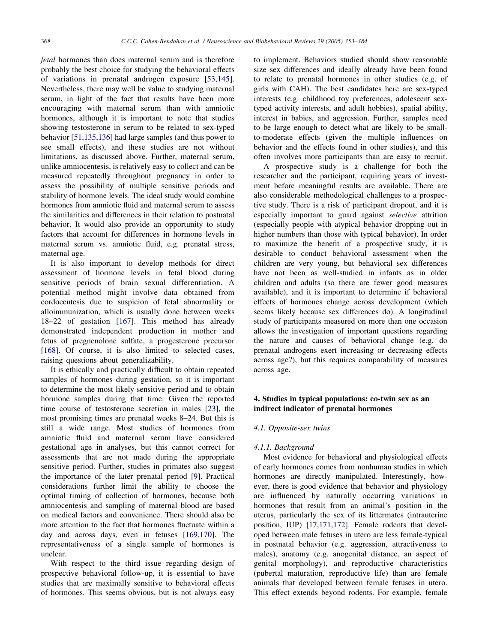fetal hormones than does maternal serum and is therefore probably the best choice for studying the behavioral effects of variations in prenatal androgen exposure [[53,145\]](#page-26-0). Nevertheless, there may well be value to studying maternal serum, in light of the fact that results have been more encouraging with maternal serum than with amniotic hormones, although it is important to note that studies showing testosterone in serum to be related to sex-typed behavior [\[51,135,136](#page-25-0)] had large samples (and thus power to see small effects), and these studies are not without limitations, as discussed above. Further, maternal serum, unlike amniocentesis, is relatively easy to collect and can be measured repeatedly throughout pregnancy in order to assess the possibility of multiple sensitive periods and stability of hormone levels. The ideal study would combine hormones from amniotic fluid and maternal serum to assess the similarities and differences in their relation to postnatal behavior. It would also provide an opportunity to study factors that account for differences in hormone levels in maternal serum vs. amniotic fluid, e.g. prenatal stress, maternal age.

It is also important to develop methods for direct assessment of hormone levels in fetal blood during sensitive periods of brain sexual differentiation. A potential method might involve data obtained from cordocentesis due to suspicion of fetal abnormality or alloimmunization, which is usually done between weeks 18–22 of gestation [[167](#page-28-0)]. This method has already demonstrated independent production in mother and fetus of pregnenolone sulfate, a progesterone precursor [[168\]](#page-28-0). Of course, it is also limited to selected cases, raising questions about generalizability.

It is ethically and practically difficult to obtain repeated samples of hormones during gestation, so it is important to determine the most likely sensitive period and to obtain hormone samples during that time. Given the reported time course of testosterone secretion in males [[23\]](#page-25-0), the most promising times are prenatal weeks 8–24. But this is still a wide range. Most studies of hormones from amniotic fluid and maternal serum have considered gestational age in analyses, but this cannot correct for assessments that are not made during the appropriate sensitive period. Further, studies in primates also suggest the importance of the later prenatal period [\[9](#page-25-0)]. Practical considerations further limit the ability to choose the optimal timing of collection of hormones, because both amniocentesis and sampling of maternal blood are based on medical factors and convenience. There should also be more attention to the fact that hormones fluctuate within a day and across days, even in fetuses [\[169,170\]](#page-28-0). The representativeness of a single sample of hormones is unclear.

With respect to the third issue regarding design of prospective behavioral follow-up, it is essential to have studies that are maximally sensitive to behavioral effects of hormones. This seems obvious, but is not always easy

to implement. Behaviors studied should show reasonable size sex differences and ideally already have been found to relate to prenatal hormones in other studies (e.g. of girls with CAH). The best candidates here are sex-typed interests (e.g. childhood toy preferences, adolescent sextyped activity interests, and adult hobbies), spatial ability, interest in babies, and aggression. Further, samples need to be large enough to detect what are likely to be smallto-moderate effects (given the multiple influences on behavior and the effects found in other studies), and this often involves more participants than are easy to recruit.

A prospective study is a challenge for both the researcher and the participant, requiring years of investment before meaningful results are available. There are also considerable methodological challenges to a prospective study. There is a risk of participant dropout, and it is especially important to guard against selective attrition (especially people with atypical behavior dropping out in higher numbers than those with typical behavior). In order to maximize the benefit of a prospective study, it is desirable to conduct behavioral assessment when the children are very young, but behavioral sex differences have not been as well-studied in infants as in older children and adults (so there are fewer good measures available), and it is important to determine if behavioral effects of hormones change across development (which seems likely because sex differences do). A longitudinal study of participants measured on more than one occasion allows the investigation of important questions regarding the nature and causes of behavioral change (e.g. do prenatal androgens exert increasing or decreasing effects across age?), but this requires comparability of measures across age.

# 4. Studies in typical populations: co-twin sex as an indirect indicator of prenatal hormones

#### 4.1. Opposite-sex twins

#### 4.1.1. Background

Most evidence for behavioral and physiological effects of early hormones comes from nonhuman studies in which hormones are directly manipulated. Interestingly, however, there is good evidence that behavior and physiology are influenced by naturally occurring variations in hormones that result from an animal's position in the uterus, particularly the sex of its littermates (intrauterine position, IUP) [[17,171,172\]](#page-25-0). Female rodents that developed between male fetuses in utero are less female-typical in postnatal behavior (e.g. aggression, attractiveness to males), anatomy (e.g. anogenital distance, an aspect of genital morphology), and reproductive characteristics (pubertal maturation, reproductive life) than are female animals that developed between female fetuses in utero. This effect extends beyond rodents. For example, female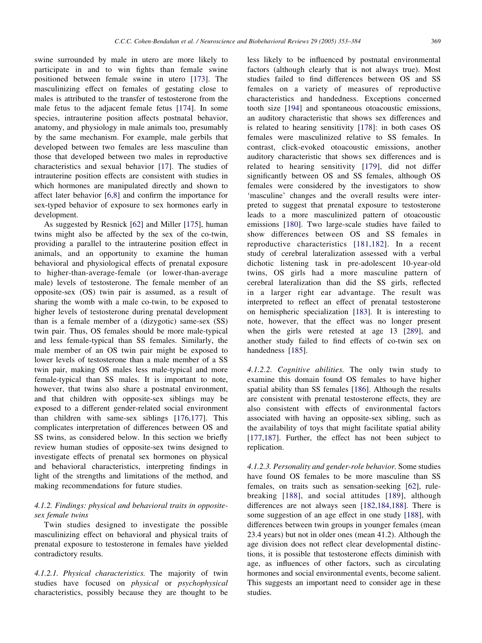swine surrounded by male in utero are more likely to participate in and to win fights than female swine positioned between female swine in utero [[173\]](#page-28-0). The masculinizing effect on females of gestating close to males is attributed to the transfer of testosterone from the male fetus to the adjacent female fetus [\[174](#page-28-0)]. In some species, intrauterine position affects postnatal behavior, anatomy, and physiology in male animals too, presumably by the same mechanism. For example, male gerbils that developed between two females are less masculine than those that developed between two males in reproductive characteristics and sexual behavior [[17\]](#page-25-0). The studies of intrauterine position effects are consistent with studies in which hormones are manipulated directly and shown to affect later behavior [\[6,8\]](#page-24-0) and confirm the importance for sex-typed behavior of exposure to sex hormones early in development.

As suggested by Resnick [[62\]](#page-26-0) and Miller [\[175](#page-28-0)], human twins might also be affected by the sex of the co-twin, providing a parallel to the intrauterine position effect in animals, and an opportunity to examine the human behavioral and physiological effects of prenatal exposure to higher-than-average-female (or lower-than-average male) levels of testosterone. The female member of an opposite-sex (OS) twin pair is assumed, as a result of sharing the womb with a male co-twin, to be exposed to higher levels of testosterone during prenatal development than is a female member of a (dizygotic) same-sex (SS) twin pair. Thus, OS females should be more male-typical and less female-typical than SS females. Similarly, the male member of an OS twin pair might be exposed to lower levels of testosterone than a male member of a SS twin pair, making OS males less male-typical and more female-typical than SS males. It is important to note, however, that twins also share a postnatal environment, and that children with opposite-sex siblings may be exposed to a different gender-related social environment than children with same-sex siblings [\[176,177\]](#page-28-0). This complicates interpretation of differences between OS and SS twins, as considered below. In this section we briefly review human studies of opposite-sex twins designed to investigate effects of prenatal sex hormones on physical and behavioral characteristics, interpreting findings in light of the strengths and limitations of the method, and making recommendations for future studies.

# 4.1.2. Findings: physical and behavioral traits in oppositesex female twins

Twin studies designed to investigate the possible masculinizing effect on behavioral and physical traits of prenatal exposure to testosterone in females have yielded contradictory results.

4.1.2.1. Physical characteristics. The majority of twin studies have focused on physical or psychophysical characteristics, possibly because they are thought to be

less likely to be influenced by postnatal environmental factors (although clearly that is not always true). Most studies failed to find differences between OS and SS females on a variety of measures of reproductive characteristics and handedness. Exceptions concerned tooth size [[194\]](#page-29-0) and spontaneous otoacoustic emissions, an auditory characteristic that shows sex differences and is related to hearing sensitivity [\[178](#page-28-0)]: in both cases OS females were masculinized relative to SS females. In contrast, click-evoked otoacoustic emissions, another auditory characteristic that shows sex differences and is related to hearing sensitivity [[179](#page-28-0)], did not differ significantly between OS and SS females, although OS females were considered by the investigators to show 'masculine' changes and the overall results were interpreted to suggest that prenatal exposure to testosterone leads to a more masculinized pattern of otoacoustic emissions [\[180](#page-28-0)]. Two large-scale studies have failed to show differences between OS and SS females in reproductive characteristics [\[181,182\]](#page-28-0). In a recent study of cerebral lateralization assessed with a verbal dichotic listening task in pre-adolescent 10-year-old twins, OS girls had a more masculine pattern of cerebral lateralization than did the SS girls, reflected in a larger right ear advantage. The result was interpreted to reflect an effect of prenatal testosterone on hemispheric specialization [\[183](#page-29-0)]. It is interesting to note, however, that the effect was no longer present when the girls were retested at age 13 [[289\]](#page-31-0), and another study failed to find effects of co-twin sex on handedness [\[185](#page-29-0)].

4.1.2.2. Cognitive abilities. The only twin study to examine this domain found OS females to have higher spatial ability than SS females [\[186](#page-29-0)]. Although the results are consistent with prenatal testosterone effects, they are also consistent with effects of environmental factors associated with having an opposite-sex sibling, such as the availability of toys that might facilitate spatial ability [[177,187](#page-28-0)]. Further, the effect has not been subject to replication.

4.1.2.3. Personality and gender-role behavior. Some studies have found OS females to be more masculine than SS females, on traits such as sensation-seeking [\[62](#page-26-0)], rulebreaking [\[188\]](#page-29-0), and social attitudes [[189](#page-29-0)], although differences are not always seen [[182,184,188\]](#page-29-0). There is some suggestion of an age effect in one study [[188](#page-29-0)], with differences between twin groups in younger females (mean 23.4 years) but not in older ones (mean 41.2). Although the age division does not reflect clear developmental distinctions, it is possible that testosterone effects diminish with age, as influences of other factors, such as circulating hormones and social environmental events, become salient. This suggests an important need to consider age in these studies.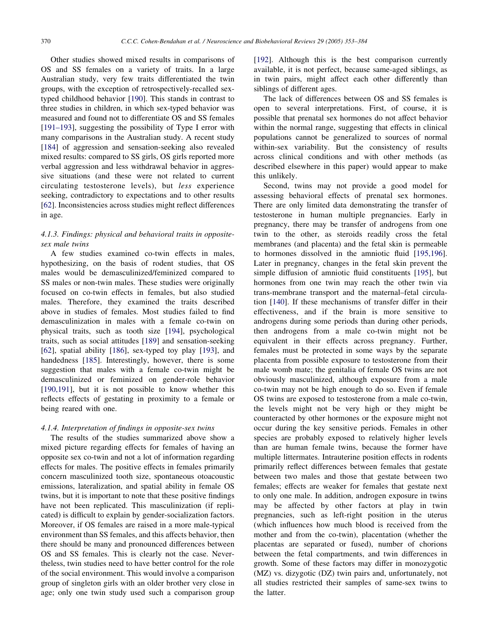Other studies showed mixed results in comparisons of OS and SS females on a variety of traits. In a large Australian study, very few traits differentiated the twin groups, with the exception of retrospectively-recalled sextyped childhood behavior [[190\]](#page-29-0). This stands in contrast to three studies in children, in which sex-typed behavior was measured and found not to differentiate OS and SS females [[191–193\]](#page-29-0), suggesting the possibility of Type I error with many comparisons in the Australian study. A recent study [[184\]](#page-29-0) of aggression and sensation-seeking also revealed mixed results: compared to SS girls, OS girls reported more verbal aggression and less withdrawal behavior in aggressive situations (and these were not related to current circulating testosterone levels), but less experience seeking, contradictory to expectations and to other results [[62\]](#page-26-0). Inconsistencies across studies might reflect differences in age.

# 4.1.3. Findings: physical and behavioral traits in oppositesex male twins

A few studies examined co-twin effects in males, hypothesizing, on the basis of rodent studies, that OS males would be demasculinized/feminized compared to SS males or non-twin males. These studies were originally focused on co-twin effects in females, but also studied males. Therefore, they examined the traits described above in studies of females. Most studies failed to find demasculinization in males with a female co-twin on physical traits, such as tooth size [\[194](#page-29-0)], psychological traits, such as social attitudes [[189\]](#page-29-0) and sensation-seeking [[62\]](#page-26-0), spatial ability [[186\]](#page-29-0), sex-typed toy play [[193\]](#page-29-0), and handedness [\[185](#page-29-0)]. Interestingly, however, there is some suggestion that males with a female co-twin might be demasculinized or feminized on gender-role behavior [[190,191](#page-29-0)], but it is not possible to know whether this reflects effects of gestating in proximity to a female or being reared with one.

#### 4.1.4. Interpretation of findings in opposite-sex twins

The results of the studies summarized above show a mixed picture regarding effects for females of having an opposite sex co-twin and not a lot of information regarding effects for males. The positive effects in females primarily concern masculinized tooth size, spontaneous otoacoustic emissions, lateralization, and spatial ability in female OS twins, but it is important to note that these positive findings have not been replicated. This masculinization (if replicated) is difficult to explain by gender-socialization factors. Moreover, if OS females are raised in a more male-typical environment than SS females, and this affects behavior, then there should be many and pronounced differences between OS and SS females. This is clearly not the case. Nevertheless, twin studies need to have better control for the role of the social environment. This would involve a comparison group of singleton girls with an older brother very close in age; only one twin study used such a comparison group

[[192\]](#page-29-0). Although this is the best comparison currently available, it is not perfect, because same-aged siblings, as in twin pairs, might affect each other differently than siblings of different ages.

The lack of differences between OS and SS females is open to several interpretations. First, of course, it is possible that prenatal sex hormones do not affect behavior within the normal range, suggesting that effects in clinical populations cannot be generalized to sources of normal within-sex variability. But the consistency of results across clinical conditions and with other methods (as described elsewhere in this paper) would appear to make this unlikely.

Second, twins may not provide a good model for assessing behavioral effects of prenatal sex hormones. There are only limited data demonstrating the transfer of testosterone in human multiple pregnancies. Early in pregnancy, there may be transfer of androgens from one twin to the other, as steroids readily cross the fetal membranes (and placenta) and the fetal skin is permeable to hormones dissolved in the amniotic fluid [\[195,196\]](#page-29-0). Later in pregnancy, changes in the fetal skin prevent the simple diffusion of amniotic fluid constituents [[195\]](#page-29-0), but hormones from one twin may reach the other twin via trans-membrane transport and the maternal–fetal circulation [[140\]](#page-28-0). If these mechanisms of transfer differ in their effectiveness, and if the brain is more sensitive to androgens during some periods than during other periods, then androgens from a male co-twin might not be equivalent in their effects across pregnancy. Further, females must be protected in some ways by the separate placenta from possible exposure to testosterone from their male womb mate; the genitalia of female OS twins are not obviously masculinized, although exposure from a male co-twin may not be high enough to do so. Even if female OS twins are exposed to testosterone from a male co-twin, the levels might not be very high or they might be counteracted by other hormones or the exposure might not occur during the key sensitive periods. Females in other species are probably exposed to relatively higher levels than are human female twins, because the former have multiple littermates. Intrauterine position effects in rodents primarily reflect differences between females that gestate between two males and those that gestate between two females; effects are weaker for females that gestate next to only one male. In addition, androgen exposure in twins may be affected by other factors at play in twin pregnancies, such as left-right position in the uterus (which influences how much blood is received from the mother and from the co-twin), placentation (whether the placentas are separated or fused), number of chorions between the fetal compartments, and twin differences in growth. Some of these factors may differ in monozygotic (MZ) vs. dizygotic (DZ) twin pairs and, unfortunately, not all studies restricted their samples of same-sex twins to the latter.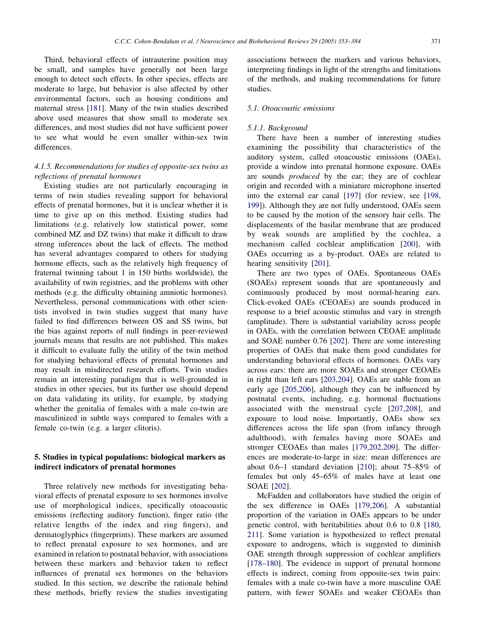Third, behavioral effects of intrauterine position may be small, and samples have generally not been large enough to detect such effects. In other species, effects are moderate to large, but behavior is also affected by other environmental factors, such as housing conditions and maternal stress [[181\]](#page-28-0). Many of the twin studies described above used measures that show small to moderate sex differences, and most studies did not have sufficient power to see what would be even smaller within-sex twin differences.

# 4.1.5. Recommendations for studies of opposite-sex twins as reflections of prenatal hormones

Existing studies are not particularly encouraging in terms of twin studies revealing support for behavioral effects of prenatal hormones, but it is unclear whether it is time to give up on this method. Existing studies had limitations (e.g. relatively low statistical power, some combined MZ and DZ twins) that make it difficult to draw strong inferences about the lack of effects. The method has several advantages compared to others for studying hormone effects, such as the relatively high frequency of fraternal twinning (about 1 in 150 births worldwide), the availability of twin registries, and the problems with other methods (e.g. the difficulty obtaining amniotic hormones). Nevertheless, personal communications with other scientists involved in twin studies suggest that many have failed to find differences between OS and SS twins, but the bias against reports of null findings in peer-reviewed journals means that results are not published. This makes it difficult to evaluate fully the utility of the twin method for studying behavioral effects of prenatal hormones and may result in misdirected research efforts. Twin studies remain an interesting paradigm that is well-grounded in studies in other species, but its further use should depend on data validating its utility, for example, by studying whether the genitalia of females with a male co-twin are masculinized in subtle ways compared to females with a female co-twin (e.g. a larger clitoris).

# 5. Studies in typical populations: biological markers as indirect indicators of prenatal hormones

Three relatively new methods for investigating behavioral effects of prenatal exposure to sex hormones involve use of morphological indices, specifically otoacoustic emissions (reflecting auditory function), finger ratio (the relative lengths of the index and ring fingers), and dermatoglyphics (fingerprints). These markers are assumed to reflect prenatal exposure to sex hormones, and are examined in relation to postnatal behavior, with associations between these markers and behavior taken to reflect influences of prenatal sex hormones on the behaviors studied. In this section, we describe the rationale behind these methods, briefly review the studies investigating

associations between the markers and various behaviors, interpreting findings in light of the strengths and limitations of the methods, and making recommendations for future studies.

# 5.1. Otoacoustic emissions

## 5.1.1. Background

There have been a number of interesting studies examining the possibility that characteristics of the auditory system, called otoacoustic emissions (OAEs), provide a window into prenatal hormone exposure. OAEs are sounds produced by the ear; they are of cochlear origin and recorded with a miniature microphone inserted into the external ear canal [[197\]](#page-29-0) (for review, see [\[198,](#page-29-0) [199](#page-29-0)]). Although they are not fully understood, OAEs seem to be caused by the motion of the sensory hair cells. The displacements of the basilar membrane that are produced by weak sounds are amplified by the cochlea, a mechanism called cochlear amplification [[200](#page-29-0)], with OAEs occurring as a by-product. OAEs are related to hearing sensitivity [\[201](#page-29-0)].

There are two types of OAEs. Spontaneous OAEs (SOAEs) represent sounds that are spontaneously and continuously produced by most normal-hearing ears. Click-evoked OAEs (CEOAEs) are sounds produced in response to a brief acoustic stimulus and vary in strength (amplitude). There is substantial variability across people in OAEs, with the correlation between CEOAE amplitude and SOAE number 0.76 [\[202](#page-29-0)]. There are some interesting properties of OAEs that make them good candidates for understanding behavioral effects of hormones. OAEs vary across ears: there are more SOAEs and stronger CEOAEs in right than left ears [[203,204](#page-29-0)]. OAEs are stable from an early age [[205,206](#page-29-0)], although they can be influenced by postnatal events, including, e.g. hormonal fluctuations associated with the menstrual cycle [[207,208](#page-29-0)], and exposure to loud noise. Importantly, OAEs show sex differences across the life span (from infancy through adulthood), with females having more SOAEs and stronger CEOAEs than males [[179,202,209\]](#page-28-0). The differences are moderate-to-large in size: mean differences are about 0.6–1 standard deviation [[210\]](#page-29-0); about 75–85% of females but only 45–65% of males have at least one SOAE [[202\]](#page-29-0).

McFadden and collaborators have studied the origin of the sex difference in OAEs [\[179,206\]](#page-28-0). A substantial proportion of the variation in OAEs appears to be under genetic control, with heritabilities about 0.6 to 0.8 [\[180,](#page-28-0) [211](#page-28-0)]. Some variation is hypothesized to reflect prenatal exposure to androgens, which is suggested to diminish OAE strength through suppression of cochlear amplifiers [[178–180\]](#page-28-0). The evidence in support of prenatal hormone effects is indirect, coming from opposite-sex twin pairs: females with a male co-twin have a more masculine OAE pattern, with fewer SOAEs and weaker CEOAEs than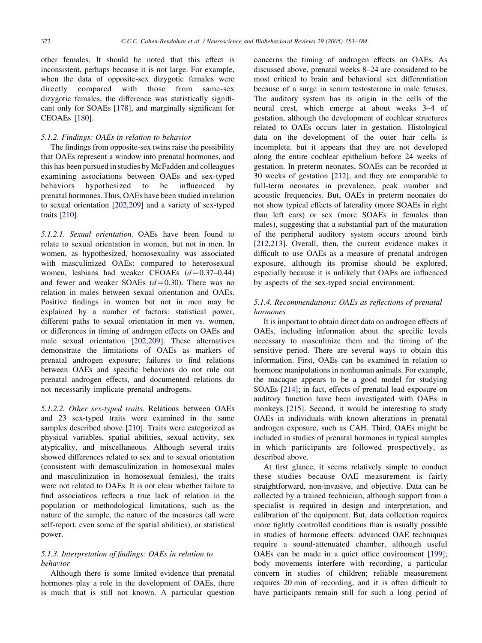other females. It should be noted that this effect is inconsistent, perhaps because it is not large. For example, when the data of opposite-sex dizygotic females were<br>directly compared with those from same-sex directly compared with those from same-sex dizygotic females, the difference was statistically significant only for SOAEs [[178\]](#page-28-0), and marginally significant for CEOAEs [\[180](#page-28-0)].

## 5.1.2. Findings: OAEs in relation to behavior

The findings from opposite-sex twins raise the possibility that OAEs represent a window into prenatal hormones, and this has been pursued in studies by McFadden and colleagues examining associations between OAEs and sex-typed behaviors hypothesized to be influenced by prenatal hormones. Thus, OAEs have been studied in relation to sexual orientation [[202,209](#page-29-0)] and a variety of sex-typed traits [[210\]](#page-29-0).

5.1.2.1. Sexual orientation. OAEs have been found to relate to sexual orientation in women, but not in men. In women, as hypothesized, homosexuality was associated with masculinized OAEs: compared to heterosexual women, lesbians had weaker CEOAEs  $(d=0.37-0.44)$ and fewer and weaker SOAEs  $(d=0.30)$ . There was no relation in males between sexual orientation and OAEs. Positive findings in women but not in men may be explained by a number of factors: statistical power, different paths to sexual orientation in men vs. women, or differences in timing of androgen effects on OAEs and male sexual orientation [[202,209](#page-29-0)]. These alternatives demonstrate the limitations of OAEs as markers of prenatal androgen exposure; failures to find relations between OAEs and specific behaviors do not rule out prenatal androgen effects, and documented relations do not necessarily implicate prenatal androgens.

5.1.2.2. Other sex-typed traits. Relations between OAEs and 23 sex-typed traits were examined in the same samples described above [\[210](#page-29-0)]. Traits were categorized as physical variables, spatial abilities, sexual activity, sex atypicality, and miscellaneous. Although several traits showed differences related to sex and to sexual orientation (consistent with demasculinization in homosexual males and masculinization in homosexual females), the traits were not related to OAEs. It is not clear whether failure to find associations reflects a true lack of relation in the population or methodological limitations, such as the nature of the sample, the nature of the measures (all were self-report, even some of the spatial abilities), or statistical power.

# 5.1.3. Interpretation of findings: OAEs in relation to behavior

Although there is some limited evidence that prenatal hormones play a role in the development of OAEs, there is much that is still not known. A particular question concerns the timing of androgen effects on OAEs. As discussed above, prenatal weeks 8–24 are considered to be most critical to brain and behavioral sex differentiation because of a surge in serum testosterone in male fetuses. The auditory system has its origin in the cells of the neural crest, which emerge at about weeks 3–4 of gestation, although the development of cochlear structures related to OAEs occurs later in gestation. Histological data on the development of the outer hair cells is incomplete, but it appears that they are not developed along the entire cochlear epithelium before 24 weeks of gestation. In preterm neonates, SOAEs can be recorded at 30 weeks of gestation [[212\]](#page-29-0), and they are comparable to full-term neonates in prevalence, peak number and acoustic frequencies. But, OAEs in preterm neonates do not show typical effects of laterality (more SOAEs in right than left ears) or sex (more SOAEs in females than males), suggesting that a substantial part of the maturation of the peripheral auditory system occurs around birth [[212,213](#page-29-0)]. Overall, then, the current evidence makes it difficult to use OAEs as a measure of prenatal androgen exposure, although its promise should be explored, especially because it is unlikely that OAEs are influenced by aspects of the sex-typed social environment.

# 5.1.4. Recommendations: OAEs as reflections of prenatal hormones

It is important to obtain direct data on androgen effects of OAEs, including information about the specific levels necessary to masculinize them and the timing of the sensitive period. There are several ways to obtain this information. First, OAEs can be examined in relation to hormone manipulations in nonhuman animals. For example, the macaque appears to be a good model for studying SOAEs [\[214](#page-29-0)]; in fact, effects of prenatal lead exposure on auditory function have been investigated with OAEs in monkeys [\[215](#page-29-0)]. Second, it would be interesting to study OAEs in individuals with known alterations in prenatal androgen exposure, such as CAH. Third, OAEs might be included in studies of prenatal hormones in typical samples in which participants are followed prospectively, as described above.

At first glance, it seems relatively simple to conduct these studies because OAE measurement is fairly straightforward, non-invasive, and objective. Data can be collected by a trained technician, although support from a specialist is required in design and interpretation, and calibration of the equipment. But, data collection requires more tightly controlled conditions than is usually possible in studies of hormone effects: advanced OAE techniques require a sound-attenuated chamber, although useful OAEs can be made in a quiet office environment [[199\]](#page-29-0); body movements interfere with recording, a particular concern in studies of children; reliable measurement requires 20 min of recording, and it is often difficult to have participants remain still for such a long period of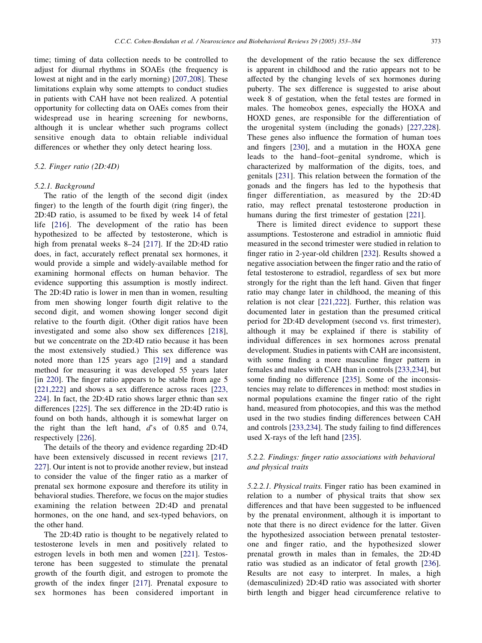time; timing of data collection needs to be controlled to adjust for diurnal rhythms in SOAEs (the frequency is lowest at night and in the early morning) [\[207,208\]](#page-29-0). These limitations explain why some attempts to conduct studies in patients with CAH have not been realized. A potential opportunity for collecting data on OAEs comes from their widespread use in hearing screening for newborns, although it is unclear whether such programs collect sensitive enough data to obtain reliable individual differences or whether they only detect hearing loss.

#### 5.2. Finger ratio (2D:4D)

## 5.2.1. Background

The ratio of the length of the second digit (index finger) to the length of the fourth digit (ring finger), the 2D:4D ratio, is assumed to be fixed by week 14 of fetal life [\[216](#page-29-0)]. The development of the ratio has been hypothesized to be affected by testosterone, which is high from prenatal weeks 8–24 [\[217](#page-29-0)]. If the 2D:4D ratio does, in fact, accurately reflect prenatal sex hormones, it would provide a simple and widely-available method for examining hormonal effects on human behavior. The evidence supporting this assumption is mostly indirect. The 2D:4D ratio is lower in men than in women, resulting from men showing longer fourth digit relative to the second digit, and women showing longer second digit relative to the fourth digit. (Other digit ratios have been investigated and some also show sex differences [[218\]](#page-29-0), but we concentrate on the 2D:4D ratio because it has been the most extensively studied.) This sex difference was noted more than 125 years ago [\[219](#page-29-0)] and a standard method for measuring it was developed 55 years later [in [220](#page-29-0)]. The finger ratio appears to be stable from age 5 [[221,222](#page-29-0)] and shows a sex difference across races [\[223,](#page-29-0) [224](#page-29-0)]. In fact, the 2D:4D ratio shows larger ethnic than sex differences [\[225](#page-29-0)]. The sex difference in the 2D:4D ratio is found on both hands, although it is somewhat larger on the right than the left hand, d's of 0.85 and 0.74, respectively [\[226](#page-29-0)].

The details of the theory and evidence regarding 2D:4D have been extensively discussed in recent reviews [\[217,](#page-29-0) [227](#page-29-0)]. Our intent is not to provide another review, but instead to consider the value of the finger ratio as a marker of prenatal sex hormone exposure and therefore its utility in behavioral studies. Therefore, we focus on the major studies examining the relation between 2D:4D and prenatal hormones, on the one hand, and sex-typed behaviors, on the other hand.

The 2D:4D ratio is thought to be negatively related to testosterone levels in men and positively related to estrogen levels in both men and women [\[221](#page-29-0)]. Testosterone has been suggested to stimulate the prenatal growth of the fourth digit, and estrogen to promote the growth of the index finger [[217\]](#page-29-0). Prenatal exposure to sex hormones has been considered important in

the development of the ratio because the sex difference is apparent in childhood and the ratio appears not to be affected by the changing levels of sex hormones during puberty. The sex difference is suggested to arise about week 8 of gestation, when the fetal testes are formed in males. The homeobox genes, especially the HOXA and HOXD genes, are responsible for the differentiation of the urogenital system (including the gonads) [\[227,228\]](#page-29-0). These genes also influence the formation of human toes and fingers [[230\]](#page-30-0), and a mutation in the HOXA gene leads to the hand–foot–genital syndrome, which is characterized by malformation of the digits, toes, and genitals [[231\]](#page-30-0). This relation between the formation of the gonads and the fingers has led to the hypothesis that finger differentiation, as measured by the 2D:4D ratio, may reflect prenatal testosterone production in humans during the first trimester of gestation [\[221](#page-29-0)].

There is limited direct evidence to support these assumptions. Testosterone and estradiol in amniotic fluid measured in the second trimester were studied in relation to finger ratio in 2-year-old children [[232](#page-30-0)]. Results showed a negative association between the finger ratio and the ratio of fetal testosterone to estradiol, regardless of sex but more strongly for the right than the left hand. Given that finger ratio may change later in childhood, the meaning of this relation is not clear [\[221,222\]](#page-29-0). Further, this relation was documented later in gestation than the presumed critical period for 2D:4D development (second vs. first trimester), although it may be explained if there is stability of individual differences in sex hormones across prenatal development. Studies in patients with CAH are inconsistent, with some finding a more masculine finger pattern in females and males with CAH than in controls [\[233,234\]](#page-30-0), but some finding no difference [\[235](#page-30-0)]. Some of the inconsistencies may relate to differences in method: most studies in normal populations examine the finger ratio of the right hand, measured from photocopies, and this was the method used in the two studies finding differences between CAH and controls [[233,234\]](#page-30-0). The study failing to find differences used X-rays of the left hand [[235\]](#page-30-0).

# 5.2.2. Findings: finger ratio associations with behavioral and physical traits

5.2.2.1. Physical traits. Finger ratio has been examined in relation to a number of physical traits that show sex differences and that have been suggested to be influenced by the prenatal environment, although it is important to note that there is no direct evidence for the latter. Given the hypothesized association between prenatal testosterone and finger ratio, and the hypothesized slower prenatal growth in males than in females, the 2D:4D ratio was studied as an indicator of fetal growth [[236\]](#page-30-0). Results are not easy to interpret. In males, a high (demasculinized) 2D:4D ratio was associated with shorter birth length and bigger head circumference relative to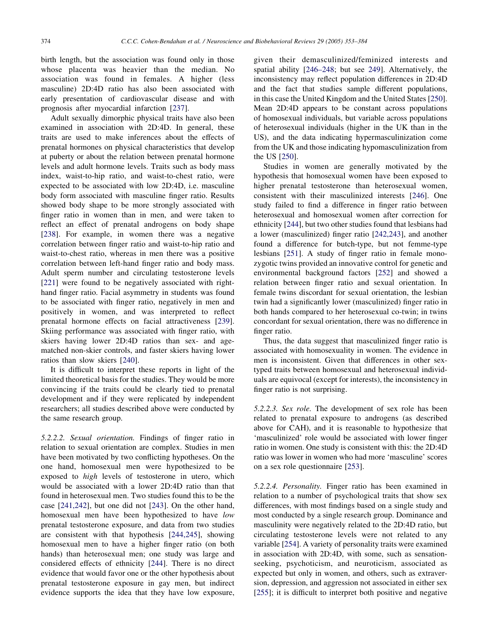birth length, but the association was found only in those whose placenta was heavier than the median. No association was found in females. A higher (less masculine) 2D:4D ratio has also been associated with early presentation of cardiovascular disease and with prognosis after myocardial infarction [\[237](#page-30-0)].

Adult sexually dimorphic physical traits have also been examined in association with 2D:4D. In general, these traits are used to make inferences about the effects of prenatal hormones on physical characteristics that develop at puberty or about the relation between prenatal hormone levels and adult hormone levels. Traits such as body mass index, waist-to-hip ratio, and waist-to-chest ratio, were expected to be associated with low 2D:4D, i.e. masculine body form associated with masculine finger ratio. Results showed body shape to be more strongly associated with finger ratio in women than in men, and were taken to reflect an effect of prenatal androgens on body shape [[238\]](#page-30-0). For example, in women there was a negative correlation between finger ratio and waist-to-hip ratio and waist-to-chest ratio, whereas in men there was a positive correlation between left-hand finger ratio and body mass. Adult sperm number and circulating testosterone levels [[221\]](#page-29-0) were found to be negatively associated with righthand finger ratio. Facial asymmetry in students was found to be associated with finger ratio, negatively in men and positively in women, and was interpreted to reflect prenatal hormone effects on facial attractiveness [[239\]](#page-30-0). Skiing performance was associated with finger ratio, with skiers having lower 2D:4D ratios than sex- and agematched non-skier controls, and faster skiers having lower ratios than slow skiers [[240\]](#page-30-0).

It is difficult to interpret these reports in light of the limited theoretical basis for the studies. They would be more convincing if the traits could be clearly tied to prenatal development and if they were replicated by independent researchers; all studies described above were conducted by the same research group.

5.2.2.2. Sexual orientation. Findings of finger ratio in relation to sexual orientation are complex. Studies in men have been motivated by two conflicting hypotheses. On the one hand, homosexual men were hypothesized to be exposed to high levels of testosterone in utero, which would be associated with a lower 2D:4D ratio than that found in heterosexual men. Two studies found this to be the case [[241,242](#page-30-0)], but one did not [\[243](#page-30-0)]. On the other hand, homosexual men have been hypothesized to have low prenatal testosterone exposure, and data from two studies are consistent with that hypothesis [[244,245](#page-30-0)], showing homosexual men to have a higher finger ratio (on both hands) than heterosexual men; one study was large and considered effects of ethnicity [[244](#page-30-0)]. There is no direct evidence that would favor one or the other hypothesis about prenatal testosterone exposure in gay men, but indirect evidence supports the idea that they have low exposure,

given their demasculinized/feminized interests and spatial ability [[246–248;](#page-30-0) but see [249](#page-30-0)]. Alternatively, the inconsistency may reflect population differences in 2D:4D and the fact that studies sample different populations, in this case the United Kingdom and the United States [[250\]](#page-30-0). Mean 2D:4D appears to be constant across populations of homosexual individuals, but variable across populations of heterosexual individuals (higher in the UK than in the US), and the data indicating hypermasculinization come from the UK and those indicating hypomasculinization from the US [[250\]](#page-30-0).

Studies in women are generally motivated by the hypothesis that homosexual women have been exposed to higher prenatal testosterone than heterosexual women, consistent with their masculinized interests [\[246](#page-30-0)]. One study failed to find a difference in finger ratio between heterosexual and homosexual women after correction for ethnicity [\[244](#page-30-0)], but two other studies found that lesbians had a lower (masculinized) finger ratio [[242,243](#page-30-0)], and another found a difference for butch-type, but not femme-type lesbians [\[251](#page-30-0)]. A study of finger ratio in female monozygotic twins provided an innovative control for genetic and environmental background factors [\[252](#page-30-0)] and showed a relation between finger ratio and sexual orientation. In female twins discordant for sexual orientation, the lesbian twin had a significantly lower (masculinized) finger ratio in both hands compared to her heterosexual co-twin; in twins concordant for sexual orientation, there was no difference in finger ratio.

Thus, the data suggest that masculinized finger ratio is associated with homosexuality in women. The evidence in men is inconsistent. Given that differences in other sextyped traits between homosexual and heterosexual individuals are equivocal (except for interests), the inconsistency in finger ratio is not surprising.

5.2.2.3. Sex role. The development of sex role has been related to prenatal exposure to androgens (as described above for CAH), and it is reasonable to hypothesize that 'masculinized' role would be associated with lower finger ratio in women. One study is consistent with this: the 2D:4D ratio was lower in women who had more 'masculine' scores on a sex role questionnaire [\[253](#page-30-0)].

5.2.2.4. Personality. Finger ratio has been examined in relation to a number of psychological traits that show sex differences, with most findings based on a single study and most conducted by a single research group. Dominance and masculinity were negatively related to the 2D:4D ratio, but circulating testosterone levels were not related to any variable [\[254](#page-30-0)]. A variety of personality traits were examined in association with 2D:4D, with some, such as sensationseeking, psychoticism, and neuroticism, associated as expected but only in women, and others, such as extraversion, depression, and aggression not associated in either sex [[255\]](#page-30-0); it is difficult to interpret both positive and negative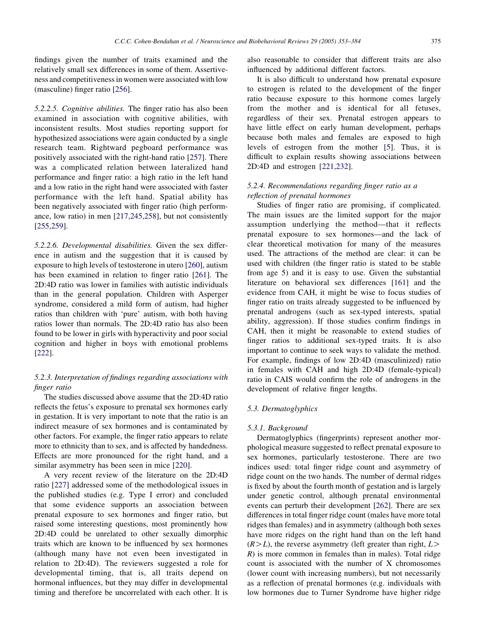findings given the number of traits examined and the relatively small sex differences in some of them. Assertiveness and competitiveness in women were associated with low (masculine) finger ratio [\[256](#page-30-0)].

5.2.2.5. Cognitive abilities. The finger ratio has also been examined in association with cognitive abilities, with inconsistent results. Most studies reporting support for hypothesized associations were again conducted by a single research team. Rightward pegboard performance was positively associated with the right-hand ratio [\[257](#page-30-0)]. There was a complicated relation between lateralized hand performance and finger ratio: a high ratio in the left hand and a low ratio in the right hand were associated with faster performance with the left hand. Spatial ability has been negatively associated with finger ratio (high performance, low ratio) in men [\[217,245,258](#page-29-0)], but not consistently [[255,259](#page-30-0)].

5.2.2.6. Developmental disabilities. Given the sex difference in autism and the suggestion that it is caused by exposure to high levels of testosterone in utero [\[260](#page-30-0)], autism has been examined in relation to finger ratio [[261\]](#page-30-0). The 2D:4D ratio was lower in families with autistic individuals than in the general population. Children with Asperger syndrome, considered a mild form of autism, had higher ratios than children with 'pure' autism, with both having ratios lower than normals. The 2D:4D ratio has also been found to be lower in girls with hyperactivity and poor social cognition and higher in boys with emotional problems [[222\]](#page-29-0).

# 5.2.3. Interpretation of findings regarding associations with finger ratio

The studies discussed above assume that the 2D:4D ratio reflects the fetus's exposure to prenatal sex hormones early in gestation. It is very important to note that the ratio is an indirect measure of sex hormones and is contaminated by other factors. For example, the finger ratio appears to relate more to ethnicity than to sex, and is affected by handedness. Effects are more pronounced for the right hand, and a similar asymmetry has been seen in mice [[220](#page-29-0)].

A very recent review of the literature on the 2D:4D ratio [\[227](#page-29-0)] addressed some of the methodological issues in the published studies (e.g. Type I error) and concluded that some evidence supports an association between prenatal exposure to sex hormones and finger ratio, but raised some interesting questions, most prominently how 2D:4D could be unrelated to other sexually dimorphic traits which are known to be influenced by sex hormones (although many have not even been investigated in relation to 2D:4D). The reviewers suggested a role for developmental timing, that is, all traits depend on hormonal influences, but they may differ in developmental timing and therefore be uncorrelated with each other. It is

also reasonable to consider that different traits are also influenced by additional different factors.

It is also difficult to understand how prenatal exposure to estrogen is related to the development of the finger ratio because exposure to this hormone comes largely from the mother and is identical for all fetuses, regardless of their sex. Prenatal estrogen appears to have little effect on early human development, perhaps because both males and females are exposed to high levels of estrogen from the mother [[5\]](#page-24-0). Thus, it is difficult to explain results showing associations between 2D:4D and estrogen [[221,232](#page-29-0)].

# 5.2.4. Recommendations regarding finger ratio as a reflection of prenatal hormones

Studies of finger ratio are promising, if complicated. The main issues are the limited support for the major assumption underlying the method—that it reflects prenatal exposure to sex hormones—and the lack of clear theoretical motivation for many of the measures used. The attractions of the method are clear: it can be used with children (the finger ratio is stated to be stable from age 5) and it is easy to use. Given the substantial literature on behavioral sex differences [[161\]](#page-28-0) and the evidence from CAH, it might be wise to focus studies of finger ratio on traits already suggested to be influenced by prenatal androgens (such as sex-typed interests, spatial ability, aggression). If those studies confirm findings in CAH, then it might be reasonable to extend studies of finger ratios to additional sex-typed traits. It is also important to continue to seek ways to validate the method. For example, findings of low 2D:4D (masculinized) ratio in females with CAH and high 2D:4D (female-typical) ratio in CAIS would confirm the role of androgens in the development of relative finger lengths.

## 5.3. Dermatoglyphics

## 5.3.1. Background

Dermatoglyphics (fingerprints) represent another morphological measure suggested to reflect prenatal exposure to sex hormones, particularly testosterone. There are two indices used: total finger ridge count and asymmetry of ridge count on the two hands. The number of dermal ridges is fixed by about the fourth month of gestation and is largely under genetic control, although prenatal environmental events can perturb their development [[262\]](#page-30-0). There are sex differences in total finger ridge count (males have more total ridges than females) and in asymmetry (although both sexes have more ridges on the right hand than on the left hand  $(R>L)$ , the reverse asymmetry (left greater than right,  $L>$  $R$ ) is more common in females than in males). Total ridge count is associated with the number of X chromosomes (lower count with increasing numbers), but not necessarily as a reflection of prenatal hormones (e.g. individuals with low hormones due to Turner Syndrome have higher ridge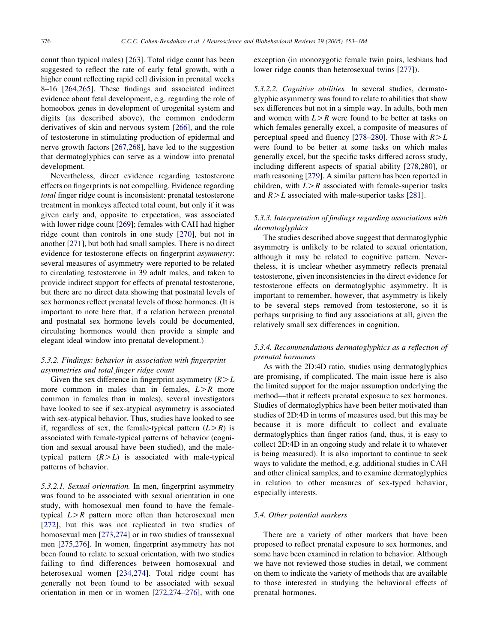count than typical males) [[263\]](#page-30-0). Total ridge count has been suggested to reflect the rate of early fetal growth, with a higher count reflecting rapid cell division in prenatal weeks 8–16 [[264,265](#page-30-0)]. These findings and associated indirect evidence about fetal development, e.g. regarding the role of homeobox genes in development of urogenital system and digits (as described above), the common endoderm derivatives of skin and nervous system [[266\]](#page-30-0), and the role of testosterone in stimulating production of epidermal and nerve growth factors [\[267,268\]](#page-30-0), have led to the suggestion that dermatoglyphics can serve as a window into prenatal development.

Nevertheless, direct evidence regarding testosterone effects on fingerprints is not compelling. Evidence regarding total finger ridge count is inconsistent: prenatal testosterone treatment in monkeys affected total count, but only if it was given early and, opposite to expectation, was associated with lower ridge count [[269\]](#page-30-0); females with CAH had higher ridge count than controls in one study [[270\]](#page-30-0), but not in another [\[271](#page-30-0)], but both had small samples. There is no direct evidence for testosterone effects on fingerprint asymmetry: several measures of asymmetry were reported to be related to circulating testosterone in 39 adult males, and taken to provide indirect support for effects of prenatal testosterone, but there are no direct data showing that postnatal levels of sex hormones reflect prenatal levels of those hormones. (It is important to note here that, if a relation between prenatal and postnatal sex hormone levels could be documented, circulating hormones would then provide a simple and elegant ideal window into prenatal development.)

# 5.3.2. Findings: behavior in association with fingerprint asymmetries and total finger ridge count

Given the sex difference in fingerprint asymmetry  $(R>L)$ more common in males than in females,  $L > R$  more common in females than in males), several investigators have looked to see if sex-atypical asymmetry is associated with sex-atypical behavior. Thus, studies have looked to see if, regardless of sex, the female-typical pattern  $(L > R)$  is associated with female-typical patterns of behavior (cognition and sexual arousal have been studied), and the maletypical pattern  $(R>L)$  is associated with male-typical patterns of behavior.

5.3.2.1. Sexual orientation. In men, fingerprint asymmetry was found to be associated with sexual orientation in one study, with homosexual men found to have the femaletypical  $L > R$  pattern more often than heterosexual men [[272](#page-30-0)], but this was not replicated in two studies of homosexual men [\[273,274\]](#page-30-0) or in two studies of transsexual men [\[275,276\]](#page-30-0). In women, fingerprint asymmetry has not been found to relate to sexual orientation, with two studies failing to find differences between homosexual and heterosexual women [[234,274](#page-30-0)]. Total ridge count has generally not been found to be associated with sexual orientation in men or in women [\[272,274–276\]](#page-30-0), with one exception (in monozygotic female twin pairs, lesbians had lower ridge counts than heterosexual twins [[277\]](#page-31-0)).

5.3.2.2. Cognitive abilities. In several studies, dermatoglyphic asymmetry was found to relate to abilities that show sex differences but not in a simple way. In adults, both men and women with  $L > R$  were found to be better at tasks on which females generally excel, a composite of measures of perceptual speed and fluency [\[278–280](#page-31-0)]. Those with  $R>L$ were found to be better at some tasks on which males generally excel, but the specific tasks differed across study, including different aspects of spatial ability [\[278,280\]](#page-31-0), or math reasoning [\[279](#page-31-0)]. A similar pattern has been reported in children, with  $L > R$  associated with female-superior tasks and  $R>L$  associated with male-superior tasks [[281](#page-31-0)].

# 5.3.3. Interpretation of findings regarding associations with dermatoglyphics

The studies described above suggest that dermatoglyphic asymmetry is unlikely to be related to sexual orientation, although it may be related to cognitive pattern. Nevertheless, it is unclear whether asymmetry reflects prenatal testosterone, given inconsistencies in the direct evidence for testosterone effects on dermatoglyphic asymmetry. It is important to remember, however, that asymmetry is likely to be several steps removed from testosterone, so it is perhaps surprising to find any associations at all, given the relatively small sex differences in cognition.

# 5.3.4. Recommendations dermatoglyphics as a reflection of prenatal hormones

As with the 2D:4D ratio, studies using dermatoglyphics are promising, if complicated. The main issue here is also the limited support for the major assumption underlying the method—that it reflects prenatal exposure to sex hormones. Studies of dermatoglyphics have been better motivated than studies of 2D:4D in terms of measures used, but this may be because it is more difficult to collect and evaluate dermatoglyphics than finger ratios (and, thus, it is easy to collect 2D:4D in an ongoing study and relate it to whatever is being measured). It is also important to continue to seek ways to validate the method, e.g. additional studies in CAH and other clinical samples, and to examine dermatoglyphics in relation to other measures of sex-typed behavior, especially interests.

## 5.4. Other potential markers

There are a variety of other markers that have been proposed to reflect prenatal exposure to sex hormones, and some have been examined in relation to behavior. Although we have not reviewed those studies in detail, we comment on them to indicate the variety of methods that are available to those interested in studying the behavioral effects of prenatal hormones.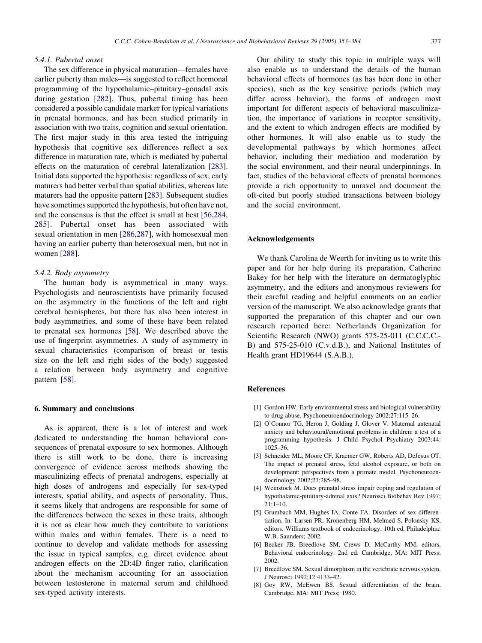#### <span id="page-24-0"></span>5.4.1. Pubertal onset

The sex difference in physical maturation—females have earlier puberty than males—is suggested to reflect hormonal programming of the hypothalamic–pituitary–gonadal axis during gestation [\[282](#page-31-0)]. Thus, pubertal timing has been considered a possible candidate marker for typical variations in prenatal hormones, and has been studied primarily in association with two traits, cognition and sexual orientation. The first major study in this area tested the intriguing hypothesis that cognitive sex differences reflect a sex difference in maturation rate, which is mediated by pubertal effects on the maturation of cerebral lateralization [[283\]](#page-31-0). Initial data supported the hypothesis: regardless of sex, early maturers had better verbal than spatial abilities, whereas late maturers had the opposite pattern [[283\]](#page-31-0). Subsequent studies have sometimes supported the hypothesis, but often have not, and the consensus is that the effect is small at best [[56,284,](#page-26-0) [285](#page-26-0)]. Pubertal onset has been associated with sexual orientation in men [\[286,287\]](#page-31-0), with homosexual men having an earlier puberty than heterosexual men, but not in women [\[288](#page-31-0)].

## 5.4.2. Body asymmetry

The human body is asymmetrical in many ways. Psychologists and neuroscientists have primarily focused on the asymmetry in the functions of the left and right cerebral hemispheres, but there has also been interest in body asymmetries, and some of these have been related to prenatal sex hormones [\[58\]](#page-26-0). We described above the use of fingerprint asymmetries. A study of asymmetry in sexual characteristics (comparison of breast or testis size on the left and right sides of the body) suggested a relation between body asymmetry and cognitive pattern [\[58](#page-26-0)].

#### 6. Summary and conclusions

As is apparent, there is a lot of interest and work dedicated to understanding the human behavioral consequences of prenatal exposure to sex hormones. Although there is still work to be done, there is increasing convergence of evidence across methods showing the masculinizing effects of prenatal androgens, especially at high doses of androgens and especially for sex-typed interests, spatial ability, and aspects of personality. Thus, it seems likely that androgens are responsible for some of the differences between the sexes in these traits, although it is not as clear how much they contribute to variations within males and within females. There is a need to continue to develop and validate methods for assessing the issue in typical samples, e.g. direct evidence about androgen effects on the 2D:4D finger ratio, clarification about the mechanism accounting for an association between testosterone in maternal serum and childhood sex-typed activity interests.

Our ability to study this topic in multiple ways will also enable us to understand the details of the human behavioral effects of hormones (as has been done in other species), such as the key sensitive periods (which may differ across behavior), the forms of androgen most important for different aspects of behavioral masculinization, the importance of variations in receptor sensitivity, and the extent to which androgen effects are modified by other hormones. It will also enable us to study the developmental pathways by which hormones affect behavior, including their mediation and moderation by the social environment, and their neural underpinnings. In fact, studies of the behavioral effects of prenatal hormones provide a rich opportunity to unravel and document the oft-cited but poorly studied transactions between biology and the social environment.

## Acknowledgements

We thank Carolina de Weerth for inviting us to write this paper and for her help during its preparation, Catherine Bakey for her help with the literature on dermatoglyphic asymmetry, and the editors and anonymous reviewers for their careful reading and helpful comments on an earlier version of the manuscript. We also acknowledge grants that supported the preparation of this chapter and our own research reported here: Netherlands Organization for Scientific Research (NWO) grants 575-25-011 (C.C.C.C.- B) and 575-25-010 (C.v.d.B.), and National Institutes of Health grant HD19644 (S.A.B.).

## References

- [1] Gordon HW. Early environmental stress and biological vulnerability to drug abuse. Psychoneuroendocrinology 2002;27:115–26.
- [2] O'Connor TG, Heron J, Golding J, Glover V. Maternal antenatal anxiety and behavioural/emotional problems in children: a test of a programming hypothesis. J Child Psychol Psychiatry 2003;44: 1025–36.
- [3] Schneider ML, Moore CF, Kraemer GW, Roberts AD, DeJesus OT. The impact of prenatal stress, fetal alcohol exposure, or both on development: perspectives from a primate model. Psychoneuroendocrinology 2002;27:285–98.
- [4] Weinstock M. Does prenatal stress impair coping and regulation of hypothalamic-pituitary-adrenal axis? Neurosci Biobehav Rev 1997;  $21 \cdot 1 - 10$
- [5] Grumbach MM, Hughes IA, Conte FA. Disorders of sex differentiation. In: Larsen PR, Kronenberg HM, Melmed S, Polonsky KS, editors. Williams textbook of endocrinology. 10th ed. Philadelphia: W.B. Saunders: 2002.
- [6] Becker JB, Breedlove SM, Crews D, McCarthy MM, editors. Behavioral endocrinology. 2nd ed. Cambridge, MA: MIT Press; 2002.
- [7] Breedlove SM. Sexual dimorphism in the vertebrate nervous system. J Neurosci 1992;12:4133–42.
- [8] Goy RW, McEwen BS. Sexual differentiation of the brain. Cambridge, MA: MIT Press; 1980.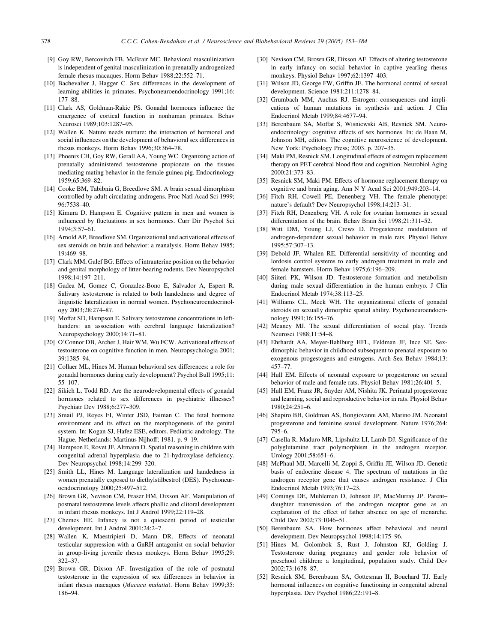- <span id="page-25-0"></span>[9] Goy RW, Bercovitch FB, McBrair MC. Behavioral masculinization is independent of genital masculinization in prenatally androgenized female rhesus macaques. Horm Behav 1988;22:552–71.
- [10] Bachevalier J, Hagger C. Sex differences in the development of learning abilities in primates. Psychoneuroendocrinology 1991;16: 177–88.
- [11] Clark AS, Goldman-Rakic PS. Gonadal hormones influence the emergence of cortical function in nonhuman primates. Behav Neurosci 1989;103:1287–95.
- [12] Wallen K. Nature needs nurture: the interaction of hormonal and social influences on the development of behavioral sex differences in rhesus monkeys. Horm Behav 1996;30:364–78.
- [13] Phoenix CH, Goy RW, Gerall AA, Young WC. Organizing action of prenatally administered testosterone propionate on the tissues mediating mating behavior in the female guinea pig. Endocrinology 1959;65:369–82.
- [14] Cooke BM, Tabibnia G, Breedlove SM. A brain sexual dimorphism controlled by adult circulating androgens. Proc Natl Acad Sci 1999; 96:7538–40.
- [15] Kimura D, Hampson E. Cognitive pattern in men and women is influenced by fluctuations in sex hormones. Curr Dir Psychol Sci 1994;3:57–61.
- [16] Arnold AP, Breedlove SM. Organizational and activational effects of sex steroids on brain and behavior: a reanalysis. Horm Behav 1985; 19:469–98.
- [17] Clark MM, Galef BG. Effects of intrauterine position on the behavior and genital morphology of litter-bearing rodents. Dev Neuropsychol 1998;14:197–211.
- [18] Gadea M, Gomez C, Gonzalez-Bono E, Salvador A, Espert R. Salivary testosterone is related to both handedness and degree of linguistic lateralization in normal women. Psychoneuroendocrinology 2003;28:274–87.
- [19] Moffat SD, Hampson E. Salivary testosterone concentrations in lefthanders: an association with cerebral language lateralization? Neuropsychology 2000;14:71–81.
- [20] O'Connor DB, Archer J, Hair WM, Wu FCW. Activational effects of testosterone on cognitive function in men. Neuropsychologia 2001; 39:1385–94.
- [21] Collaer ML, Hines M. Human behavioral sex differences: a role for gonadal hormones during early development? Psychol Bull 1995;11: 55–107.
- [22] Sikich L, Todd RD. Are the neurodevelopmental effects of gonadal hormones related to sex differences in psychiatric illnesses? Psychiatr Dev 1988;6:277–309.
- [23] Smail PJ, Reyes FI, Winter JSD, Faiman C. The fetal hormone environment and its effect on the morphogenesis of the genital system. In: Kogan SJ, Hafez ESE, editors. Pediatric andrology. The Hague, Netherlands: Martinus Nijhoff; 1981. p. 9–19.
- [24] Hampson E, Rovet JF, Altmann D. Spatial reasoning in children with congenital adrenal hyperplasia due to 21-hydroxylase deficiency. Dev Neuropsychol 1998;14:299–320.
- [25] Smith LL, Hines M. Language lateralization and handedness in women prenatally exposed to diethylstilbestrol (DES). Psychoneuroendocrinology 2000;25:497–512.
- [26] Brown GR, Nevison CM, Fraser HM, Dixson AF. Manipulation of postnatal testosterone levels affects phallic and clitoral development in infant rhesus monkeys. Int J Androl 1999;22:119–28.
- [27] Chemes HE. Infancy is not a quiescent period of testicular development. Int J Androl 2001;24:2–7.
- [28] Wallen K, Maestripieri D, Mann DR. Effects of neonatal testicular suppression with a GnRH antagonist on social behavior in group-living juvenile rhesus monkeys. Horm Behav 1995;29: 322–37.
- [29] Brown GR, Dixson AF. Investigation of the role of postnatal testosterone in the expression of sex differences in behavior in infant rhesus macaques (Macaca mulatta). Horm Behav 1999;35: 186–94.
- [30] Nevison CM, Brown GR, Dixson AF. Effects of altering testosterone in early infancy on social behavior in captive yearling rhesus monkeys. Physiol Behav 1997;62:1397–403.
- [31] Wilson JD, George FW, Griffin JE. The hormonal control of sexual development. Science 1981;211:1278–84.
- [32] Grumbach MM, Auchus RJ. Estrogen: consequences and implications of human mutations in synthesis and action. J Clin Endocrinol Metab 1999;84:4677–94.
- [33] Berenbaum SA, Moffat S, Wisniewski AB, Resnick SM. Neuroendocrinology: cognitive effects of sex hormones. In: de Haan M, Johnson MH, editors. The cognitive neuroscience of development. New York: Psychology Press; 2003. p. 207–35.
- [34] Maki PM, Resnick SM. Longitudinal effects of estrogen replacement therapy on PET cerebral blood flow and cognition. Neurobiol Aging 2000;21:373–83.
- [35] Resnick SM, Maki PM. Effects of hormone replacement therapy on cognitive and brain aging. Ann N Y Acad Sci 2001;949:203–14.
- [36] Fitch RH, Cowell PE, Denenberg VH. The female phenotype: nature's default? Dev Neuropsychol 1998;14:213–31.
- [37] Fitch RH, Denenberg VH. A role for ovarian hormones in sexual differentiation of the brain. Behav Brain Sci 1998;21:311–52.
- [38] Witt DM, Young LJ, Crews D. Progesterone modulation of androgen-dependent sexual behavior in male rats. Physiol Behav 1995;57:307–13.
- [39] Debold JF, Whalen RE. Differential sensitivity of mounting and lordosis control systems to early androgen treatment in male and female hamsters. Horm Behav 1975;6:196–209.
- [40] Siiteri PK, Wilson JD. Testosterone formation and metabolism during male sexual differentiation in the human embryo. J Clin Endocrinol Metab 1974;38:113–25.
- [41] Williams CL, Meck WH. The organizational effects of gonadal steroids on sexually dimorphic spatial ability. Psychoneuroendocrinology 1991;16:155–76.
- [42] Meaney MJ. The sexual differentiation of social play. Trends Neurosci 1988;11:54–8.
- [43] Ehrhardt AA, Meyer-Bahlburg HFL, Feldman JF, Ince SE. Sexdimorphic behavior in childhood subsequent to prenatal exposure to exogenous progestogens and estrogens. Arch Sex Behav 1984;13: 457–77.
- [44] Hull EM. Effects of neonatal exposure to progesterone on sexual behavior of male and female rats. Physiol Behav 1981;26:401–5.
- [45] Hull EM, Franz JR, Snyder AM, Nishita JK. Perinatal progesterone and learning, social and reproductive behavior in rats. Physiol Behav 1980;24:251–6.
- [46] Shapiro BH, Goldman AS, Bongiovanni AM, Marino JM. Neonatal progesterone and feminine sexual development. Nature 1976;264: 795–6.
- [47] Casella R, Maduro MR, Lipshultz LI, Lamb DJ. Significance of the polyglutamine tract polymorphism in the androgen receptor. Urology 2001;58:651–6.
- [48] McPhaul MJ, Marcelli M, Zoppi S, Griffin JE, Wilson JD. Genetic basis of endocrine disease 4. The spectrum of mutations in the androgen receptor gene that causes androgen resistance. J Clin Endocrinol Metab 1993;76:17–23.
- [49] Comings DE, Muhleman D, Johnson JP, MacMurray JP. Parent– daughter transmission of the androgen receptor gene as an explanation of the effect of father absence on age of menarche. Child Dev 2002;73:1046–51.
- [50] Berenbaum SA. How hormones affect behavioral and neural development. Dev Neuropsychol 1998;14:175–96.
- [51] Hines M, Golombok S, Rust J, Johnston KJ, Golding J. Testosterone during pregnancy and gender role behavior of preschool children: a longitudinal, population study. Child Dev 2002;73:1678–87.
- [52] Resnick SM, Berenbaum SA, Gottesman II, Bouchard TJ. Early hormonal influences on cognitive functioning in congenital adrenal hyperplasia. Dev Psychol 1986;22:191–8.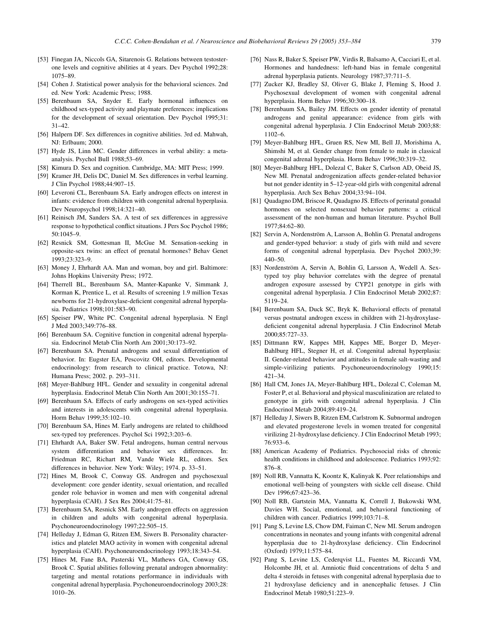- <span id="page-26-0"></span>[53] Finegan JA, Niccols GA, Sitarenois G. Relations between testosterone levels and cognitive abilities at 4 years. Dev Psychol 1992;28: 1075–89.
- [54] Cohen J. Statistical power analysis for the behavioral sciences. 2nd ed. New York: Academic Press; 1988.
- [55] Berenbaum SA, Snyder E. Early hormonal influences on childhood sex-typed activity and playmate preferences: implications for the development of sexual orientation. Dev Psychol 1995;31: 31–42.
- [56] Halpern DF. Sex differences in cognitive abilities. 3rd ed. Mahwah, NJ: Erlbaum; 2000.
- [57] Hyde JS, Linn MC. Gender differences in verbal ability: a metaanalysis. Psychol Bull 1988;53–69.
- [58] Kimura D. Sex and cognition. Cambridge, MA: MIT Press; 1999.
- [59] Kramer JH, Delis DC, Daniel M. Sex differences in verbal learning. J Clin Psychol 1988;44:907–15.
- [60] Leveroni CL, Berenbaum SA. Early androgen effects on interest in infants: evidence from children with congenital adrenal hyperplasia. Dev Neuropsychol 1998;14:321–40.
- [61] Reinisch JM, Sanders SA. A test of sex differences in aggressive response to hypothetical conflict situations. J Pers Soc Psychol 1986; 50:1045–9.
- [62] Resnick SM, Gottesman II, McGue M. Sensation-seeking in opposite-sex twins: an effect of prenatal hormones? Behav Genet 1993;23:323–9.
- [63] Money J, Ehrhardt AA. Man and woman, boy and girl. Baltimore: Johns Hopkins University Press; 1972.
- [64] Therrell BL, Berenbaum SA, Manter-Kapanke V, Simmank J, Korman K, Prentice L, et al. Results of screening 1.9 million Texas newborns for 21-hydroxylase-deficient congenital adrenal hyperplasia. Pediatrics 1998;101:583–90.
- [65] Speiser PW, White PC. Congenital adrenal hyperplasia. N Engl J Med 2003;349:776–88.
- [66] Berenbaum SA. Cognitive function in congenital adrenal hyperplasia. Endocrinol Metab Clin North Am 2001;30:173–92.
- [67] Berenbaum SA. Prenatal androgens and sexual differentiation of behavior. In: Eugster EA, Pescovitz OH, editors. Developmental endocrinology: from research to clinical practice. Totowa, NJ: Humana Press; 2002. p. 293–311.
- [68] Meyer-Bahlburg HFL. Gender and sexuality in congenital adrenal hyperplasia. Endocrinol Metab Clin North Am 2001;30:155–71.
- [69] Berenbaum SA. Effects of early androgens on sex-typed activities and interests in adolescents with congenital adrenal hyperplasia. Horm Behav 1999;35:102–10.
- [70] Berenbaum SA, Hines M. Early androgens are related to childhood sex-typed toy preferences. Psychol Sci 1992;3:203–6.
- [71] Ehrhardt AA, Baker SW. Fetal androgens, human central nervous system differentiation and behavior sex differences. In: Friedman RC, Richart RM, Vande Wiele RL, editors. Sex differences in behavior. New York: Wiley; 1974. p. 33–51.
- [72] Hines M, Brook C, Conway GS. Androgen and psychosexual development: core gender identity, sexual orientation, and recalled gender role behavior in women and men with congenital adrenal hyperplasia (CAH). J Sex Res 2004;41:75–81.
- [73] Berenbaum SA, Resnick SM. Early androgen effects on aggression in children and adults with congenital adrenal hyperplasia. Psychoneuroendocrinology 1997;22:505–15.
- [74] Helleday J, Edman G, Ritzen EM, Siwers B. Personality characteristics and platelet MAO activity in women with congenital adrenal hyperplasia (CAH). Psychoneuroendocrinology 1993;18:343–54.
- [75] Hines M, Fane BA, Pasterski VL, Mathews GA, Conway GS, Brook C. Spatial abilities following prenatal androgen abnormality: targeting and mental rotations performance in individuals with congenital adrenal hyperplasia. Psychoneuroendocrinology 2003;28: 1010–26.
- [76] Nass R, Baker S, Speiser PW, Virdis R, Balsamo A, Cacciari E, et al. Hormones and handedness: left-hand bias in female congenital adrenal hyperplasia patients. Neurology 1987;37:711–5.
- [77] Zucker KJ, Bradley SJ, Oliver G, Blake J, Fleming S, Hood J. Psychosexual development of women with congenital adrenal hyperplasia. Horm Behav 1996;30:300–18.
- [78] Berenbaum SA, Bailey JM. Effects on gender identity of prenatal androgens and genital appearance: evidence from girls with congenital adrenal hyperplasia. J Clin Endocrinol Metab 2003;88: 1102–6.
- [79] Meyer-Bahlburg HFL, Gruen RS, New MI, Bell JJ, Morishima A, Shimshi M, et al. Gender change from female to male in classical congenital adrenal hyperplasia. Horm Behav 1996;30:319–32.
- [80] Meyer-Bahlburg HFL, Dolezal C, Baker S, Carlson AD, Obeid JS, New MI. Prenatal androgenization affects gender-related behavior but not gender identity in 5–12-year-old girls with congenital adrenal hyperplasia. Arch Sex Behav 2004;33:94–104.
- [81] Quadagno DM, Briscoe R, Quadagno JS. Effects of perinatal gonadal hormones on selected nonsexual behavior patterns: a critical assessment of the non-human and human literature. Psychol Bull 1977;84:62–80.
- [82] Servin A, Nordenström A, Larsson A, Bohlin G. Prenatal androgens and gender-typed behavior: a study of girls with mild and severe forms of congenital adrenal hyperplasia. Dev Psychol 2003;39: 440–50.
- [83] Nordenström A, Servin A, Bohlin G, Larsson A, Wedell A. Sextyped toy play behavior correlates with the degree of prenatal androgen exposure assessed by CYP21 genotype in girls with congenital adrenal hyperplasia. J Clin Endocrinol Metab 2002;87: 5119–24.
- [84] Berenbaum SA, Duck SC, Bryk K. Behavioral effects of prenatal versus postnatal androgen excess in children with 21-hydroxylasedeficient congenital adrenal hyperplasia. J Clin Endocrinol Metab 2000;85:727–33.
- [85] Dittmann RW, Kappes MH, Kappes ME, Borger D, Meyer-Bahlburg HFL, Stegner H, et al. Congenital adrenal hyperplasia: II. Gender-related behavior and attitudes in female salt-wasting and simple-virilizing patients. Psychoneuroendocrinology 1990;15: 421–34.
- [86] Hall CM, Jones JA, Meyer-Bahlburg HFL, Dolezal C, Coleman M, Foster P, et al. Behavioral and physical masculinization are related to genotype in girls with congenital adrenal hyperplasia. J Clin Endocrinol Metab 2004;89:419–24.
- [87] Helleday J, Siwers B, Ritzen EM, Carlstrom K. Subnormal androgen and elevated progesterone levels in women treated for congenital virilizing 21-hydroxylase deficiency. J Clin Endocrinol Metab 1993; 76:933–6.
- [88] American Academy of Pediatrics. Psychosocial risks of chronic health conditions in childhood and adolescence. Pediatrics 1993;92: 876–8.
- [89] Noll RB, Vannatta K, Koontz K, Kalinyak K. Peer relationships and emotional well-being of youngsters with sickle cell disease. Child Dev 1996;67:423–36.
- [90] Noll RB, Gartstein MA, Vannatta K, Correll J, Bukowski WM, Davies WH. Social, emotional, and behavioral functioning of children with cancer. Pediatrics 1999;103:71–8.
- [91] Pang S, Levine LS, Chow DM, Faiman C, New MI. Serum androgen concentrations in neonates and young infants with congenital adrenal hyperplasia due to 21-hydroxylase deficiency. Clin Endocrinol (Oxford) 1979;11:575–84.
- [92] Pang S, Levine LS, Cederqvist LL, Fuentes M, Riccardi VM, Holcombe JH, et al. Amniotic fluid concentrations of delta 5 and delta 4 steroids in fetuses with congenital adrenal hyperplasia due to 21 hydroxylase deficiency and in anencephalic fetuses. J Clin Endocrinol Metab 1980;51:223–9.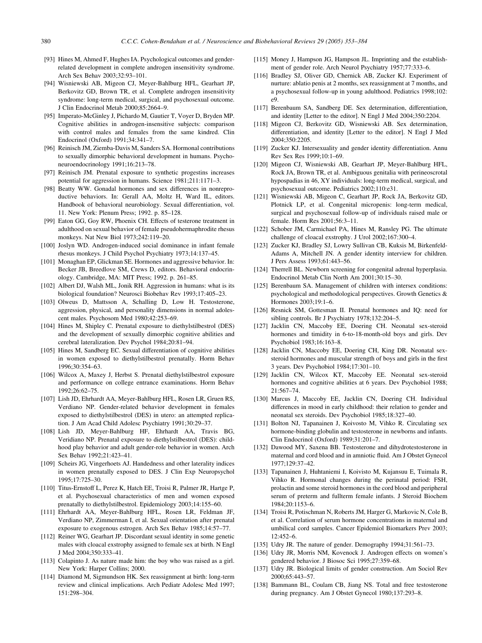- <span id="page-27-0"></span>[93] Hines M, Ahmed F, Hughes IA. Psychological outcomes and genderrelated development in complete androgen insensitivity syndrome. Arch Sex Behav 2003;32:93–101.
- [94] Wisniewski AB, Migeon CJ, Meyer-Bahlburg HFL, Gearhart JP, Berkovitz GD, Brown TR, et al. Complete androgen insensitivity syndrome: long-term medical, surgical, and psychosexual outcome. J Clin Endocrinol Metab 2000;85:2664–9.
- [95] Imperato-McGinley J, Pichardo M, Gautier T, Voyer D, Bryden MP. Cognitive abilities in androgen-insensitive subjects: comparison with control males and females from the same kindred. Clin Endocrinol (Oxford) 1991;34:341–7.
- [96] Reinisch JM, Ziemba-Davis M, Sanders SA. Hormonal contributions to sexually dimorphic behavioral development in humans. Psychoneuroendocrinology 1991;16:213–78.
- [97] Reinisch JM. Prenatal exposure to synthetic progestins increases potential for aggression in humans. Science 1981;211:1171–3.
- [98] Beatty WW. Gonadal hormones and sex differences in nonreproductive behaviors. In: Gerall AA, Moltz H, Ward IL, editors. Handbook of behavioral neurobiology. Sexual differentiation, vol. 11. New York: Plenum Press; 1992. p. 85–128.
- [99] Eaton GG, Goy RW, Phoenix CH. Effects of testerone treatment in adulthood on sexual behavior of female pseudohermaphrodite rhesus monkeys. Nat New Biol 1973;242:119–20.
- [100] Joslyn WD. Androgen-induced social dominance in infant female rhesus monkeys. J Child Psychol Psychiatry 1973;14:137–45.
- [101] Monaghan EP, Glickman SE. Hormones and aggressive behavior. In: Becker JB, Breedlove SM, Crews D, editors. Behavioral endocrinology. Cambridge, MA: MIT Press; 1992. p. 261–85.
- [102] Albert DJ, Walsh ML, Jonik RH. Aggression in humans: what is its biological foundation? Neurosci Biobehav Rev 1993;17:405–23.
- [103] Olweus D, Mattsson A, Schalling D, Low H. Testosterone, aggression, physical, and personality dimensions in normal adolescent males. Psychosom Med 1980;42:253–69.
- [104] Hines M, Shipley C. Prenatal exposure to diethylstilbestrol (DES) and the development of sexually dimorphic cognitive abilities and cerebral lateralization. Dev Psychol 1984;20:81–94.
- [105] Hines M, Sandberg EC. Sexual differentiation of cognitive abilities in women exposed to diethylstilbestrol prenatally. Horm Behav 1996;30:354–63.
- [106] Wilcox A, Maxey J, Herbst S. Prenatal diethylstilbestrol exposure and performance on college entrance examinations. Horm Behav 1992;26:62–75.
- [107] Lish JD, Ehrhardt AA, Meyer-Bahlburg HFL, Rosen LR, Gruen RS, Verdiano NP. Gender-related behavior development in females exposed to diethylstilbestrol (DES) in utero: an attempted replication. J Am Acad Child Adolesc Psychiatry 1991;30:29–37.
- [108] Lish JD, Meyer-Bahlburg HF, Ehrhardt AA, Travis BG, Veridiano NP. Prenatal exposure to diethylstilbestrol (DES): childhood play behavior and adult gender-role behavior in women. Arch Sex Behav 1992;21:423–41.
- [109] Scheirs JG, Vingerhoets AJ. Handedness and other laterality indices in women prenatally exposed to DES. J Clin Exp Neuropsychol 1995;17:725–30.
- [110] Titus-Ernstoff L, Perez K, Hatch EE, Troisi R, Palmer JR, Hartge P, et al. Psychosexual characteristics of men and women exposed prenatally to diethylstilbestrol. Epidemiology 2003;14:155–60.
- [111] Ehrhardt AA, Meyer-Bahlburg HFL, Rosen LR, Feldman JF, Verdiano NP, Zimmerman I, et al. Sexual orientation after prenatal exposure to exogenous estrogen. Arch Sex Behav 1985;14:57–77.
- [112] Reiner WG, Gearhart JP. Discordant sexual identity in some genetic males with cloacal exstrophy assigned to female sex at birth. N Engl J Med 2004;350:333–41.
- [113] Colapinto J. As nature made him: the boy who was raised as a girl. New York: Harper Collins; 2000.
- [114] Diamond M, Sigmundson HK. Sex reassignment at birth: long-term review and clinical implications. Arch Pediatr Adolesc Med 1997; 151:298–304.
- [115] Money J, Hampson JG, Hampson JL. Imprinting and the establishment of gender role. Arch Neurol Psychiatry 1957;77:333–6.
- [116] Bradley SJ, Oliver GD, Chernick AB, Zucker KJ. Experiment of nurture: ablatio penis at 2 months, sex reassignment at 7 months, and a psychosexual follow-up in young adulthood. Pediatrics 1998;102: e9.
- [117] Berenbaum SA, Sandberg DE. Sex determination, differentiation, and identity [Letter to the editor]. N Engl J Med 2004;350:2204.
- [118] Migeon CJ, Berkovitz GD, Wisniewski AB. Sex determination, differentiation, and identity [Letter to the editor]. N Engl J Med 2004;350:2205.
- [119] Zucker KJ. Intersexuality and gender identity differentiation. Annu Rev Sex Res 1999;10:1–69.
- [120] Migeon CJ, Wisniewski AB, Gearhart JP, Meyer-Bahlburg HFL, Rock JA, Brown TR, et al. Ambiguous genitalia with perineoscrotal hypospadias in 46, XY individuals: long-term medical, surgical, and psychosexual outcome. Pediatrics 2002;110:e31.
- [121] Wisniewski AB, Migeon C, Gearhart JP, Rock JA, Berkovitz GD, Plotnick LP, et al. Congenital micropenis: long-term medical, surgical and psychosexual follow-up of individuals raised male or female. Horm Res 2001;56:3–11.
- [122] Schober JM, Carmichael PA, Hines M, Ransley PG. The ultimate challenge of cloacal exstrophy. J Urol 2002;167:300–4.
- [123] Zucker KJ, Bradley SJ, Lowry Sullivan CB, Kuksis M, Birkenfeld-Adams A, Mitchell JN. A gender identity interview for children. J Pers Assess 1993;61:443–56.
- [124] Therrell BL. Newborn screening for congenital adrenal hyperplasia. Endocrinol Metab Clin North Am 2001;30:15–30.
- [125] Berenbaum SA. Management of children with intersex conditions: psychological and methodological perspectives. Growth Genetics & Hormones 2003;19:1–6.
- [126] Resnick SM, Gottesman II. Prenatal hormones and IQ: need for sibling controls. Br J Psychiatry 1978;132:204–5.
- [127] Jacklin CN, Maccoby EE, Doering CH. Neonatal sex-steroid hormones and timidity in 6-to-18-month-old boys and girls. Dev Psychobiol 1983;16:163–8.
- [128] Jacklin CN, Maccoby EE, Doering CH, King DR. Neonatal sexsteroid hormones and muscular strength of boys and girls in the first 3 years. Dev Psychobiol 1984;17:301–10.
- [129] Jacklin CN, Wilcox KT, Maccoby EE. Neonatal sex-steroid hormones and cognitive abilities at 6 years. Dev Psychobiol 1988; 21:567–74.
- [130] Marcus J, Maccoby EE, Jacklin CN, Doering CH. Individual differences in mood in early childhood: their relation to gender and neonatal sex steroids. Dev Psychobiol 1985;18:327–40.
- [131] Bolton NJ, Tapanainen J, Koivosto M, Vihko R. Circulating sex hormone-binding globulin and testosterone in newborns and infants. Clin Endocrinol (Oxford) 1989;31:201–7.
- [132] Dawood MY, Saxena BB. Testosterone and dihydrotestosterone in maternal and cord blood and in amniotic fluid. Am J Obstet Gynecol 1977;129:37–42.
- [133] Tapanainen J, Huhtaniemi I, Koivisto M, Kujansuu E, Tuimala R, Vihko R. Hormonal changes during the perinatal period: FSH, prolactin and some steroid hormones in the cord blood and peripheral serum of preterm and fullterm female infants. J Steroid Biochem  $1984.20 \cdot 1153 - 6$
- [134] Troisi R, Potischman N, Roberts JM, Harger G, Markovic N, Cole B, et al. Correlation of serum hormone concentrations in maternal and umbilical cord samples. Cancer Epidemiol Biomarkers Prev 2003;  $12.452 - 6$
- [135] Udry JR. The nature of gender. Demography 1994;31:561–73.
- [136] Udry JR, Morris NM, Kovenock J. Androgen effects on women's gendered behavior. J Biosoc Sci 1995;27:359–68.
- [137] Udry JR. Biological limits of gender construction. Am Sociol Rev 2000;65:443–57.
- [138] Bammann BL, Coulam CB, Jiang NS. Total and free testosterone during pregnancy. Am J Obstet Gynecol 1980;137:293–8.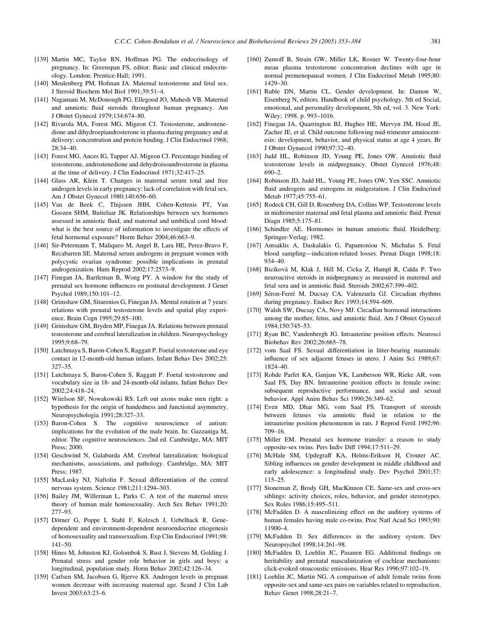- <span id="page-28-0"></span>[139] Martin MC, Taylor RN, Hoffman PG. The endocrinology of pregnancy. In: Greenspan FS, editor. Basic and clinical endocrinology. London: Prentice-Hall; 1991.
- [140] Meulenberg PM, Hofman JA. Maternal testosterone and fetal sex. J Steroid Biochem Mol Biol 1991;39:51–4.
- [141] Nagamani M, McDonough PG, Ellegood JO, Mahesh VB. Maternal and amniotic fluid steroids throughout human pregnancy. Am J Obstet Gynecol 1979;134:674–80.
- [142] Rivarola MA, Forest MG, Migeon CJ. Testosterone, androstenedione and dihydroepiandrosterone in plasma during pregnancy and at delivery: concentration and protein binding. J Clin Endocrinol 1968;  $28:34-40.$
- [143] Forest MG, Ances IG, Tapper AJ, Migeon CJ. Percentage binding of testosterone, androstenedione and dehydroisoandrosterone in plasma at the time of delivery. J Clin Endocrinol 1971;32:417–25.
- [144] Glass AR, Klein T. Changes in maternal serum total and free androgen levels in early pregnancy: lack of correlation with fetal sex. Am J Obstet Gynecol 1980;140:656–60.
- [145] Van de Beek C, Thijssen JHH, Cohen-Kettenis PT, Van Goozen SHM, Buitelaar JK. Relationships between sex hormones assessed in amniotic fluid, and maternal and umbilical cord blood: what is the best source of information to investigate the effects of fetal hormonal exposure? Horm Behav 2004;46:663–9.
- [146] Sir-Petermann T, Maliqueo M, Angel B, Lara HE, Perez-Bravo F, Recabarren SE. Maternal serum androgens in pregnant women with polycystic ovarian syndrome: possible implications in prenatal androgenization. Hum Reprod 2002;17:2573–9.
- [147] Finegan JA, Bartleman B, Wong PY. A window for the study of prenatal sex hormone influences on postnatal development. J Genet Psychol 1989;150:101–12.
- [148] Grimshaw GM, Sitarenios G, Finegan JA. Mental rotation at 7 years: relations with prenatal testosterone levels and spatial play experience. Brain Cogn 1995;29:85–100.
- [149] Grimshaw GM, Bryden MP, Finegan JA. Relations between prenatal testosterone and cerebral lateralization in children. Neuropsychology 1995;9:68–79.
- [150] Lutchmaya S, Baron-Cohen S, Raggatt P. Foetal testosterone and eye contact in 12-month-old human infants. Infant Behav Dev 2002;25: 327–35.
- [151] Lutchmaya S, Baron-Cohen S, Raggatt P. Foetal testosterone and vocabulary size in 18- and 24-month-old infants. Infant Behav Dev  $2002.24:418-24$
- [152] Witelson SF, Nowakowski RS. Left out axons make men right: a hypothesis for the origin of handedness and functional asymmetry. Neuropsychologia 1991;28:327–33.
- [153] Baron-Cohen S. The cognitive neuroscience of autism: implications for the evolution of the male brain. In: Gazzaniga M, editor. The cognitive neurosciences. 2nd ed. Cambridge, MA: MIT Press; 2000.
- [154] Geschwind N, Galaburda AM. Cerebral lateralization: biological mechanisms, associations, and pathology. Cambridge, MA: MIT Press; 1987.
- [155] MacLusky NJ, Naftolin F. Sexual differentiation of the central nervous system. Science 1981;211:1294–303.
- [156] Bailey JM, Willerman L, Parks C. A test of the maternal stress theory of human male homosexuality. Arch Sex Behav 1991;20: 277–93.
- [157] Dörner G, Poppe I, Stahl F, Kolzsch J, Uebelhack R. Genedependent and environment-dependent neuroendocrine etiogenesis of homosexuality and transsexualism. Exp Clin Endocrinol 1991;98: 141–50.
- [158] Hines M, Johnston KJ, Golombok S, Rust J, Stevens M, Golding J. Prenatal stress and gender role behavior in girls and boys: a longitudinal, population study. Horm Behav 2002;42:126–34.
- [159] Carlsen SM, Jacobsen G, Bjerve KS. Androgen levels in pregnant women decrease with increasing maternal age. Scand J Clin Lab Invest 2003;63:23–6.
- [160] Zumoff B, Strain GW, Miller LK, Rosner W. Twenty-four-hour mean plasma testosterone concentration declines with age in normal premenopausal women. J Clin Endocrinol Metab 1995;80: 1429–30.
- [161] Ruble DN, Martin CL. Gender development. In: Damon W, Eisenberg N, editors. Handbook of child psychology. 5th ed Social, emotional, and personality development, 5th ed, vol. 3. New York: Wiley; 1998. p. 993–1016.
- [162] Finegan JA, Quarrington BJ, Hughes HE, Mervyn JM, Hood JE, Zacher JE, et al. Child outcome following mid-trimester amniocentesis: development, behavior, and physical status at age 4 years. Br J Obstet Gynaecol 1990;97:32–40.
- [163] Judd HL, Robinson JD, Young PE, Jones OW. Amniotic fluid testosterone levels in midpregnancy. Obstet Gynecol 1976;48: 690–2.
- [164] Robinson JD, Judd HL, Young PE, Jones OW, Yen SSC. Amniotic fluid androgens and estrogens in midgestation. J Clin Endocrinol Metab 1977;45:755–61.
- [165] Rodeck CH, Gill D, Rosenberg DA, Collins WP. Testosterone levels in midtrimester maternal and fetal plasma and amniotic fluid. Prenat Diagn 1985;5:175–81.
- [166] Schindler AE. Hormones in human amniotic fluid. Heidelberg: Springer-Verlag; 1982.
- [167] Antsaklis A, Daskalakis G, Papantoniou N, Michalas S. Fetal blood sampling—indication-related losses. Prenat Diagn 1998;18: 934–40.
- [168] Biciková M, Klak J, Hill M, Cicka Z, Hampl R, Calda P. Two neuroactive steroids in midpregnancy as measured in maternal and fetal sera and in amniotic fluid. Steroids 2002;67:399–402.
- [169] Séron-Ferré M, Ducsay CA, Valenzuela GJ, Circadian rhythms during pregnancy. Endocr Rev 1993;14:594–609.
- [170] Walsh SW, Ducsay CA, Novy MJ. Circadian hormonal interactions among the mother, fetus, and amniotic fluid. Am J Obstet Gynecol 1984;150:745–53.
- [171] Ryan BC, Vandenbergh JG. Intrauterine position effects. Neurosci Biobehav Rev 2002;26:665–78.
- [172] vom Saal FS. Sexual differentiation in litter-bearing mammals: influence of sex adjacent fetuses in utero. J Anim Sci 1989;67: 1824–40.
- [173] Rohde Parfet KA, Ganjam VK, Lamberson WR, Rieke AR, vom Saal FS, Day BN. Intrauterine position effects in female swine: subsequent reproductive performance, and social and sexual behavior. Appl Anim Behav Sci 1990;26:349–62.
- [174] Even MD, Dhar MG, vom Saal FS. Transport of steroids between fetuses via amniotic fluid in relation to the intrauterine position phenomenon in rats. J Reprod Fertil 1992;96: 709–16.
- [175] Miller EM. Prenatal sex hormone transfer: a reason to study opposite-sex twins. Pers Indiv Diff 1994;17:511–29.
- [176] McHale SM, Updegraff KA, Helms-Erikson H, Crouter AC. Sibling influences on gender development in middle childhood and early adolescence: a longitudinal study. Dev Psychol 2001;37: 115–25.
- [177] Stoneman Z, Brody GH, MacKinnon CE. Same-sex and cross-sex siblings: activity choices, roles, behavior, and gender stereotypes. Sex Roles 1986;15:495–511.
- [178] McFadden D. A masculinizing effect on the auditory systems of human females having male co-twins. Proc Natl Acad Sci 1993;90: 11900–4.
- [179] McFadden D. Sex differences in the auditory system. Dev Neuropsychol 1998;14:261–98.
- [180] McFadden D, Loehlin JC, Pasanen EG. Additional findings on heritability and prenatal masculinization of cochlear mechanisms: click-evoked otoacoustic emissions. Hear Res 1996;97:102–19.
- [181] Loehlin JC, Martin NG. A comparison of adult female twins from opposite-sex and same-sex pairs on variables related to reproduction. Behav Genet 1998;28:21–7.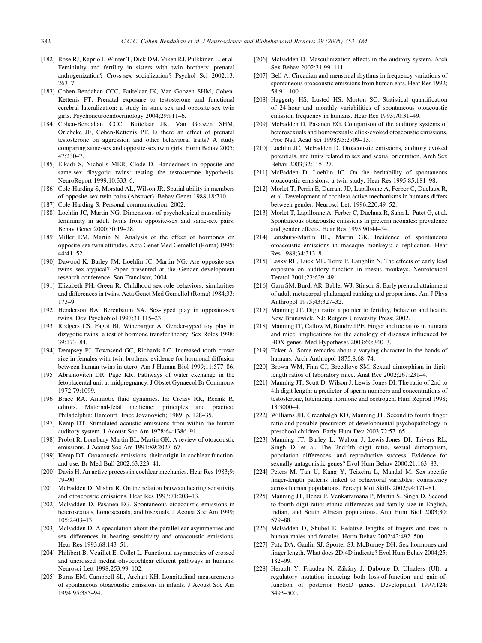- <span id="page-29-0"></span>[182] Rose RJ, Kaprio J, Winter T, Dick DM, Viken RJ, Pulkkinen L, et al. Femininity and fertility in sisters with twin brothers: prenatal androgenization? Cross-sex socialization? Psychol Sci 2002;13: 263–7.
- [183] Cohen-Bendahan CCC, Buitelaar JK, Van Goozen SHM, Cohen-Kettenis PT. Prenatal exposure to testosterone and functional cerebral lateralization: a study in same-sex and opposite-sex twin girls. Psychoneuroendocrinology 2004;29:911–6.
- [184] Cohen-Bendahan CCC, Buitelaar JK, Van Goozen SHM, Orlebeke JF, Cohen-Kettenis PT. Is there an effect of prenatal testosterone on aggression and other behavioral traits? A study comparing same-sex and opposite-sex twin girls. Horm Behav 2005; 47:230–7.
- [185] Elkadi S, Nicholls MER, Clode D. Handedness in opposite and same-sex dizygotic twins: testing the testosterone hypothesis. NeuroReport 1999;10:333–6.
- [186] Cole-Harding S, Morstad AL, Wilson JR, Spatial ability in members of opposite-sex twin pairs (Abstract). Behav Genet 1988;18:710.
- [187] Cole-Harding S. Personal communication; 2002.
- [188] Loehlin JC, Martin NG. Dimensions of psychological masculinity– femininity in adult twins from opposite-sex and same-sex pairs. Behav Genet 2000;30:19–28.
- [189] Miller EM, Martin N. Analysis of the effect of hormones on opposite-sex twin attitudes. Acta Genet Med Gemellol (Roma) 1995;  $44.41 - 52$
- [190] Dawood K, Bailey JM, Loehlin JC, Martin NG. Are opposite-sex twins sex-atypical? Paper presented at the Gender development research conference, San Francisco; 2004.
- [191] Elizabeth PH, Green R. Childhood sex-role behaviors: similarities and differences in twins. Acta Genet Med Gemellol (Roma) 1984;33: 173–9.
- [192] Henderson BA, Berenbaum SA. Sex-typed play in opposite-sex twins. Dev Psychobiol 1997;31:115–23.
- [193] Rodgers CS, Fagot BI, Winebarger A. Gender-typed toy play in dizygotic twins: a test of hormone transfer theory. Sex Roles 1998; 39:173–84.
- [194] Dempsey PJ, Townsend GC, Richards LC. Increased tooth crown size in females with twin brothers: evidence for hormonal diffusion between human twins in utero. Am J Human Biol 1999;11:577–86.
- [195] Abramovitch DR, Page KR. Pathways of water exchange in the fetoplacental unit at midpregnancy. J Obstet Gynaecol Br Commonw 1972;79:1099.
- [196] Brace RA. Amniotic fluid dynamics. In: Creasy RK, Resnik R, editors. Maternal-fetal medicine: principles and practice. Philadelphia: Harcourt Brace Jovanovich; 1989. p. 128–35.
- [197] Kemp DT. Stimulated acoustic emissions from within the human auditory system. J Acoust Soc Am 1978;64:1386–91.
- [198] Probst R, Lonsbury-Martin BL, Martin GK. A review of otoacoustic emissions. J Acoust Soc Am 1991;89:2027–67.
- [199] Kemp DT. Otoacoustic emissions, their origin in cochlear function, and use. Br Med Bull 2002;63:223–41.
- [200] Davis H. An active process in cochlear mechanics. Hear Res 1983;9: 79–90.
- [201] McFadden D, Mishra R. On the relation between hearing sensitivity and otoacoustic emissions. Hear Res 1993;71:208–13.
- [202] McFadden D, Pasanen EG. Spontaneous otoacoustic emissions in heterosexuals, homosexuals, and bisexuals. J Acoust Soc Am 1999; 105:2403–13.
- [203] McFadden D. A speculation about the parallel ear asymmetries and sex differences in hearing sensitivity and otoacoustic emissions. Hear Res 1993;68:143–51.
- [204] Philibert B, Veuillet E, Collet L. Functional asymmetries of crossed and uncrossed medial olivocochlear efferent pathways in humans. Neurosci Lett 1998;253:99–102.
- [205] Burns EM, Campbell SL, Arehart KH. Longitudinal measurements of spontaneous otoacoustic emissions in infants. J Acoust Soc Am 1994;95:385–94.
- [206] McFadden D. Masculinization effects in the auditory system. Arch Sex Behav 2002;31:99–111.
- [207] Bell A. Circadian and menstrual rhythms in frequency variations of spontaneous otoacoustic emissions from human ears. Hear Res 1992; 58:91–100.
- [208] Haggerty HS, Lusted HS, Morton SC. Statistical quantification of 24-hour and monthly variabilities of spontaneous otoacoustic emission frequency in humans. Hear Res 1993;70:31–49.
- [209] McFadden D, Pasanen EG. Comparison of the auditory systems of heterosexuals and homosexuals: click-evoked otoacoustic emissions. Proc Natl Acad Sci 1998;95:2709–13.
- [210] Loehlin JC, McFadden D. Otoacoustic emissions, auditory evoked potentials, and traits related to sex and sexual orientation. Arch Sex Behav 2003;32:115–27.
- [211] McFadden D, Loehlin JC. On the heritability of spontaneous otoacoustic emissions: a twin study. Hear Res 1995;85:181–98.
- [212] Morlet T, Perrin E, Durrant JD, Lapillonne A, Ferber C, Duclaux R, et al. Development of cochlear active mechanisms in humans differs between gender. Neurosci Lett 1996;220:49–52.
- [213] Morlet T, Lapillonne A, Ferber C, Duclaux R, Sann L, Putet G, et al. Spontaneous otoacoustic emissions in preterm neonates: prevalence and gender effects. Hear Res 1995;90:44–54.
- [214] Lonsbury-Martin BL, Martin GK. Incidence of spontaneous otoacoustic emissions in macaque monkeys: a replication. Hear Res 1988;34:313–8.
- [215] Lasky RE, Luck ML, Torre P, Laughlin N. The effects of early lead exposure on auditory function in rhesus monkeys. Neurotoxicol Teratol 2001;23:639–49.
- [216] Garn SM, Burdi AR, Babler WJ, Stinson S. Early prenatal attainment of adult metacarpal-phalangeal ranking and proportions. Am J Phys Anthropol 1975;43:327–32.
- [217] Manning JT. Digit ratio: a pointer to fertility, behavior and health. New Brunswick, NJ: Rutgers University Press; 2002.
- [218] Manning JT, Callow M, Bundred PE. Finger and toe ratios in humans and mice: implications for the aetiology of diseases influenced by HOX genes. Med Hypotheses 2003;60:340–3.
- [219] Ecker A. Some remarks about a varying character in the hands of humans. Arch Anthropol 1875;8:68–74.
- [220] Brown WM, Finn CJ, Breedlove SM, Sexual dimorphism in digitlength ratios of laboratory mice. Anat Rec 2002;267:231–4.
- [221] Manning JT, Scutt D, Wilson J, Lewis-Jones DI. The ratio of 2nd to 4th digit length: a predictor of sperm numbers and concentrations of testosterone, luteinizing hormone and oestrogen. Hum Reprod 1998; 13:3000–4.
- [222] Williams JH, Greenhalgh KD, Manning JT. Second to fourth finger ratio and possible precursors of developmental psychopathology in preschool children. Early Hum Dev 2003;72:57–65.
- [223] Manning JT, Barley L, Walton J, Lewis-Jones DI, Trivers RL, Singh D, et al. The 2nd:4th digit ratio, sexual dimorphism, population differences, and reproductive success. Evidence for sexually antagonistic genes? Evol Hum Behav 2000;21:163–83.
- [224] Peters M, Tan U, Kang Y, Teixeira L, Mandal M. Sex-specific finger-length patterns linked to behavioral variables: consistency across human populations. Percept Mot Skills 2002;94:171–81.
- [225] Manning JT, Henzi P, Venkatramana P, Martin S, Singh D. Second to fourth digit ratio: ethnic differences and family size in English, Indian, and South African populations. Ann Hum Biol 2003;30: 579–88.
- [226] McFadden D, Shubel E. Relative lengths of fingers and toes in human males and females. Horm Behav 2002;42:492–500.
- [227] Putz DA, Gaulin SJ, Sporter SJ, McBurney DH, Sex hormones and finger length. What does 2D:4D indicate? Evol Hum Behav 2004;25: 182–99.
- [228] Herault Y, Fraudea N, Zákány J, Duboule D. Ulnaless (Ul), a regulatory mutation inducing both loss-of-function and gain-offunction of posterior HoxD genes. Development 1997;124: 3493–500.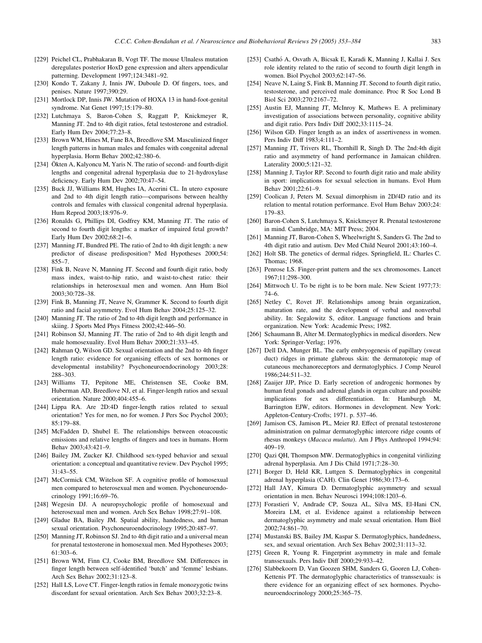- <span id="page-30-0"></span>[229] Peichel CL, Prabhakaran B, Vogt TF. The mouse Ulnaless mutation deregulates posterior HoxD gene expression and alters appendicular patterning. Development 1997;124:3481–92.
- [230] Kondo T, Zakany J, Innis JW, Duboule D. Of fingers, toes, and penises. Nature 1997;390:29.
- [231] Mortlock DP, Innis JW. Mutation of HOXA 13 in hand-foot-genital syndrome. Nat Genet 1997;15:179–80.
- [232] Lutchmaya S, Baron-Cohen S, Raggatt P, Knickmeyer R, Manning JT. 2nd to 4th digit ratios, fetal testosterone and estradiol. Early Hum Dev 2004;77:23–8.
- [233] Brown WM, Hines M, Fane BA, Breedlove SM. Masculinized finger length patterns in human males and females with congenital adrenal hyperplasia. Horm Behav 2002;42:380–6.
- [234] Ökten A, Kalyoncu M, Yaris N. The ratio of second- and fourth-digit lengths and congenital adrenal hyperplasia due to 21-hydroxylase deficiency. Early Hum Dev 2002;70:47–54.
- [235] Buck JJ, Williams RM, Hughes IA, Acerini CL. In utero exposure and 2nd to 4th digit length ratio—comparisons between healthy controls and females with classical congenital adrenal hyperplasia. Hum Reprod 2003;18:976–9.
- [236] Ronalds G, Phillips DI, Godfrey KM, Manning JT. The ratio of second to fourth digit lengths: a marker of impaired fetal growth? Early Hum Dev 2002;68:21–6.
- [237] Manning JT, Bundred PE. The ratio of 2nd to 4th digit length: a new predictor of disease predisposition? Med Hypotheses 2000;54: 855–7.
- [238] Fink B, Neave N, Manning JT. Second and fourth digit ratio, body mass index, waist-to-hip ratio, and waist-to-chest ratio: their relationships in heterosexual men and women. Ann Hum Biol 2003;30:728–38.
- [239] Fink B, Manning JT, Neave N, Grammer K. Second to fourth digit ratio and facial asymmetry. Evol Hum Behav 2004;25:125–32.
- [240] Manning JT. The ratio of 2nd to 4th digit length and performance in skiing. J Sports Med Phys Fitness 2002;42:446–50.
- [241] Robinson SJ, Manning JT. The ratio of 2nd to 4th digit length and male homosexuality. Evol Hum Behav 2000;21:333–45.
- [242] Rahman Q, Wilson GD. Sexual orientation and the 2nd to 4th finger length ratio: evidence for organising effects of sex hormones or developmental instability? Psychoneuroendocrinology 2003;28: 288–303.
- [243] Williams TJ, Pepitone ME, Christensen SE, Cooke BM, Huberman AD, Breedlove NJ, et al. Finger-length ratios and sexual orientation. Nature 2000;404:455–6.
- [244] Lippa RA. Are 2D:4D finger-length ratios related to sexual orientation? Yes for men, no for women. J Pers Soc Psychol 2003; 85:179–88.
- [245] McFadden D, Shubel E. The relationships between otoacoustic emissions and relative lengths of fingers and toes in humans. Horm Behav 2003;43:421–9.
- [246] Bailey JM, Zucker KJ. Childhood sex-typed behavior and sexual orientation: a conceptual and quantitative review. Dev Psychol 1995; 31:43–55.
- [247] McCormick CM, Witelson SF. A cognitive profile of homosexual men compared to heterosexual men and women. Psychoneuroendocrinology 1991;16:69–76.
- [248] Wegesin DJ. A neuropsychologic profile of homosexual and heterosexual men and women. Arch Sex Behav 1998;27:91–108.
- [249] Gladue BA, Bailey JM. Spatial ability, handedness, and human sexual orientation. Psychoneuroendocrinology 1995;20:487–97.
- [250] Manning JT, Robinson SJ. 2nd to 4th digit ratio and a universal mean for prenatal testosterone in homosexual men. Med Hypotheses 2003; 61:303–6.
- [251] Brown WM, Finn CJ, Cooke BM, Breedlove SM. Differences in finger length between self-identified 'butch' and 'femme' lesbians. Arch Sex Behav 2002;31:123–8.
- [252] Hall LS, Love CT. Finger-length ratios in female monozygotic twins discordant for sexual orientation. Arch Sex Behav 2003;32:23–8.
- [253] Csathó A, Osvath A, Bicsak E, Karadi K, Manning J, Kallai J. Sex role identity related to the ratio of second to fourth digit length in women. Biol Psychol 2003;62:147–56.
- [254] Neave N, Laing S, Fink B, Manning JT. Second to fourth digit ratio, testosterone, and perceived male dominance. Proc R Soc Lond B Biol Sci 2003;270:2167–72.
- [255] Austin EJ, Manning JT, McInroy K, Mathews E. A preliminary investigation of associations between personality, cognitive ability and digit ratio. Pers Indiv Diff 2002;33:1115–24.
- [256] Wilson GD. Finger length as an index of assertiveness in women. Pers Indiv Diff 1983;4:111–2.
- [257] Manning JT, Trivers RL, Thornhill R, Singh D. The 2nd:4th digit ratio and asymmetry of hand performance in Jamaican children. Laterality 2000;5:121–32.
- [258] Manning J, Taylor RP. Second to fourth digit ratio and male ability in sport: implications for sexual selection in humans. Evol Hum Behav 2001;22:61–9.
- [259] Coolican J, Peters M. Sexual dimorphism in 2D/4D ratio and its relation to mental rotation performance. Evol Hum Behav 2003;24: 179–83.
- [260] Baron-Cohen S, Lutchmaya S, Knickmeyer R. Prenatal testosterone in mind. Cambridge, MA: MIT Press; 2004.
- [261] Manning JT, Baron-Cohen S, Wheelwright S, Sanders G. The 2nd to 4th digit ratio and autism. Dev Med Child Neurol 2001;43:160–4.
- [262] Holt SB. The genetics of dermal ridges. Springfield, IL: Charles C. Thomas; 1968.
- [263] Penrose LS. Finger-print pattern and the sex chromosomes. Lancet 1967;11:298–300.
- [264] Mittwoch U. To be right is to be born male. New Scient 1977;73: 74–6.
- [265] Netley C, Rovet JF. Relationships among brain organization, maturation rate, and the development of verbal and nonverbal ability. In: Segalowitz S, editor. Language functions and brain organization. New York: Academic Press; 1982.
- [266] Schaumann B, Alter M. Dermatoglyphics in medical disorders. New York: Springer-Verlag; 1976.
- [267] Dell DA, Munger BL. The early embryogenesis of papillary (sweat duct) ridges in primate glabrous skin: the dermatotopic map of cutaneous mechanoreceptors and dermatoglyphics. J Comp Neurol 1986;244:511–32.
- [268] Zaaijer JJP, Price D. Early secretion of androgenic hormones by human fetal gonads and adrenal glands in organ culture and possible implications for sex differentiation. In: Hamburgh M, Barrington EJW, editors. Hormones in development. New York: Appleton-Century-Crofts; 1971. p. 537–46.
- [269] Jamison CS, Jamison PL, Meier RJ. Effect of prenatal testosterone administration on palmar dermatoglyphic intercore ridge counts of rhesus monkeys (Macaca mulatta). Am J Phys Anthropol 1994;94: 409–19.
- [270] Qazi QH, Thompson MW. Dermatoglyphics in congenital virilizing adrenal hyperplasia. Am J Dis Child 1971;7:28–30.
- [271] Borger D, Held KR, Luttgen S, Dermatoglyphics in congenital adrenal hyperplasia (CAH). Clin Genet 1986;30:173–6.
- [272] Hall JAY, Kimura D. Dermatoglyphic asymmetry and sexual orientation in men. Behav Neurosci 1994;108:1203–6.
- [273] Forastieri V, Andrade CP, Souza AL, Silva MS, El-Hani CN, Moreira LM, et al. Evidence against a relationship between dermatoglyphic asymmetry and male sexual orientation. Hum Biol 2002;74:861–70.
- [274] Mustanski BS, Bailey JM, Kaspar S. Dermatoglyphics, handedness, sex, and sexual orientation. Arch Sex Behav 2002;31:113–32.
- [275] Green R, Young R. Fingerprint asymmetry in male and female transsexuals. Pers Indiv Diff 2000;29:933–42.
- [276] Slabbekoorn D, Van Goozen SHM, Sanders G, Gooren LJ, Cohen-Kettenis PT. The dermatoglyphic characteristics of transsexuals: is there evidence for an organizing effect of sex hormones. Psychoneuroendocrinology 2000;25:365–75.